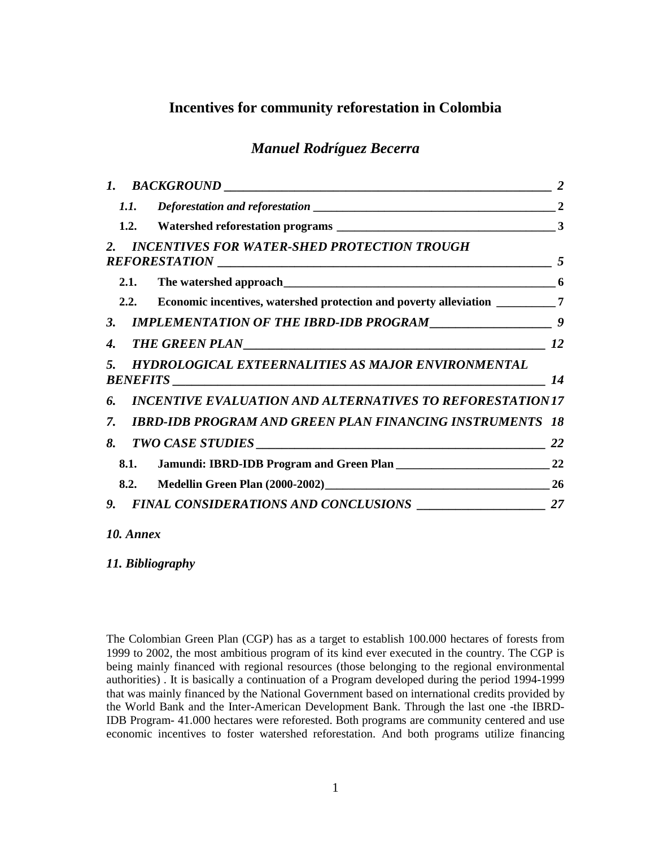# **Incentives for community reforestation in Colombia**

# *Manuel Rodríguez Becerra*

| <i>1.1.</i>                                                                         | $\overline{2}$ |
|-------------------------------------------------------------------------------------|----------------|
|                                                                                     |                |
| <b>INCENTIVES FOR WATER-SHED PROTECTION TROUGH</b>                                  |                |
|                                                                                     |                |
| 2.2. Economic incentives, watershed protection and poverty alleviation __________ 7 |                |
|                                                                                     |                |
|                                                                                     |                |
| <b>HYDROLOGICAL EXTEERNALITIES AS MAJOR ENVIRONMENTAL</b>                           | 14             |
| <b>INCENTIVE EVALUATION AND ALTERNATIVES TO REFORESTATION 17</b>                    |                |
| <b>IBRD-IDB PROGRAM AND GREEN PLAN FINANCING INSTRUMENTS 18</b>                     |                |
|                                                                                     |                |
| 8.1.                                                                                |                |
| 8.2.                                                                                |                |
|                                                                                     |                |
|                                                                                     |                |

The Colombian Green Plan (CGP) has as a target to establish 100.000 hectares of forests from 1999 to 2002, the most ambitious program of its kind ever executed in the country. The CGP is being mainly financed with regional resources (those belonging to the regional environmental authorities) . It is basically a continuation of a Program developed during the period 1994-1999 that was mainly financed by the National Government based on international credits provided by the World Bank and the Inter-American Development Bank. Through the last one -the IBRD-IDB Program- 41.000 hectares were reforested. Both programs are community centered and use economic incentives to foster watershed reforestation. And both programs utilize financing

*<sup>10.</sup> Annex*

*<sup>11.</sup> Bibliography*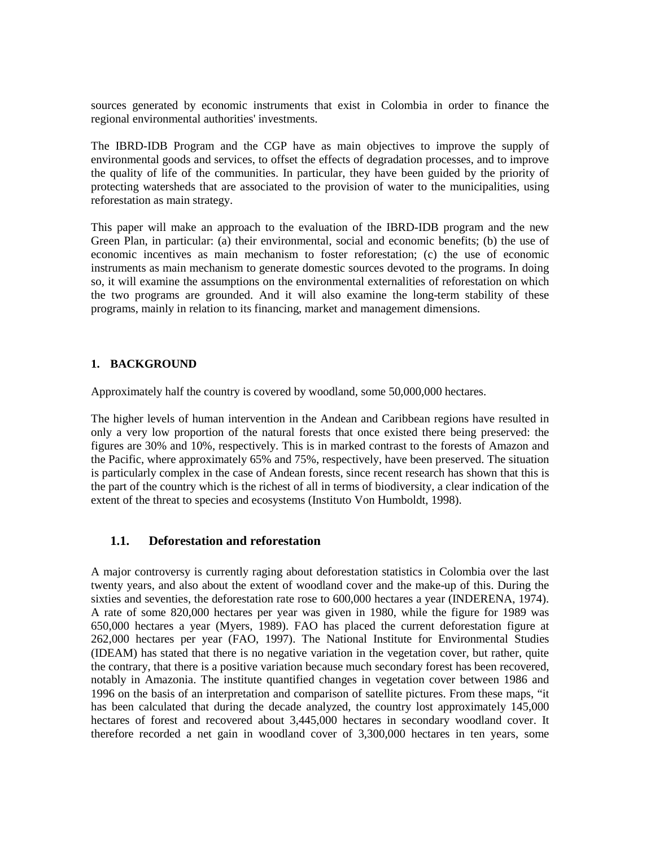sources generated by economic instruments that exist in Colombia in order to finance the regional environmental authorities' investments.

The IBRD-IDB Program and the CGP have as main objectives to improve the supply of environmental goods and services, to offset the effects of degradation processes, and to improve the quality of life of the communities. In particular, they have been guided by the priority of protecting watersheds that are associated to the provision of water to the municipalities, using reforestation as main strategy.

This paper will make an approach to the evaluation of the IBRD-IDB program and the new Green Plan, in particular: (a) their environmental, social and economic benefits; (b) the use of economic incentives as main mechanism to foster reforestation; (c) the use of economic instruments as main mechanism to generate domestic sources devoted to the programs. In doing so, it will examine the assumptions on the environmental externalities of reforestation on which the two programs are grounded. And it will also examine the long-term stability of these programs, mainly in relation to its financing, market and management dimensions.

### **1. BACKGROUND**

Approximately half the country is covered by woodland, some 50,000,000 hectares.

The higher levels of human intervention in the Andean and Caribbean regions have resulted in only a very low proportion of the natural forests that once existed there being preserved: the figures are 30% and 10%, respectively. This is in marked contrast to the forests of Amazon and the Pacific, where approximately 65% and 75%, respectively, have been preserved. The situation is particularly complex in the case of Andean forests, since recent research has shown that this is the part of the country which is the richest of all in terms of biodiversity, a clear indication of the extent of the threat to species and ecosystems (Instituto Von Humboldt, 1998).

### **1.1. Deforestation and reforestation**

A major controversy is currently raging about deforestation statistics in Colombia over the last twenty years, and also about the extent of woodland cover and the make-up of this. During the sixties and seventies, the deforestation rate rose to 600,000 hectares a year (INDERENA, 1974). A rate of some 820,000 hectares per year was given in 1980, while the figure for 1989 was 650,000 hectares a year (Myers, 1989). FAO has placed the current deforestation figure at 262,000 hectares per year (FAO, 1997). The National Institute for Environmental Studies (IDEAM) has stated that there is no negative variation in the vegetation cover, but rather, quite the contrary, that there is a positive variation because much secondary forest has been recovered, notably in Amazonia. The institute quantified changes in vegetation cover between 1986 and 1996 on the basis of an interpretation and comparison of satellite pictures. From these maps, "it has been calculated that during the decade analyzed, the country lost approximately 145,000 hectares of forest and recovered about 3,445,000 hectares in secondary woodland cover. It therefore recorded a net gain in woodland cover of 3,300,000 hectares in ten years, some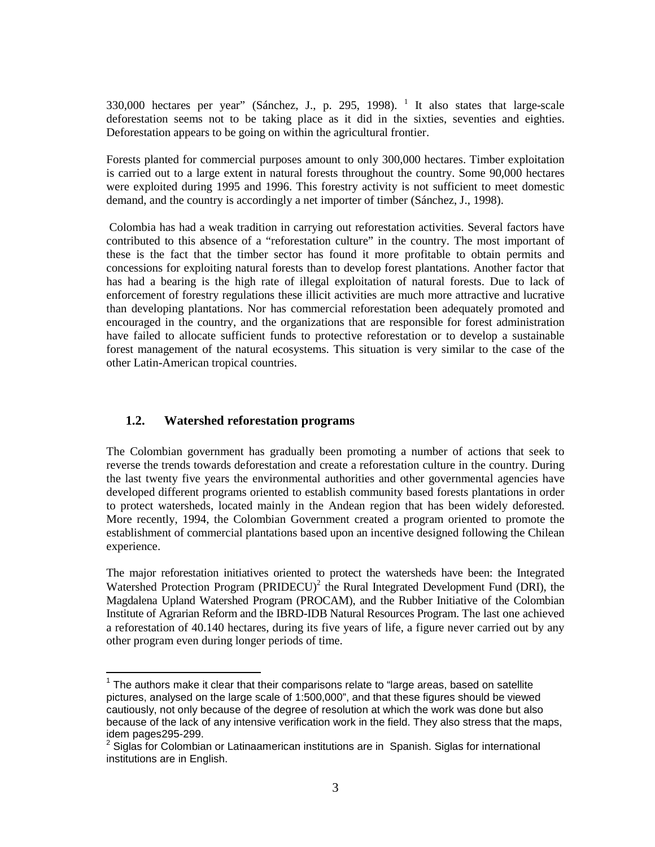330,000 hectares per year" (Sánchez, J., p. 295, 1998).  $1$  It also states that large-scale deforestation seems not to be taking place as it did in the sixties, seventies and eighties. Deforestation appears to be going on within the agricultural frontier.

Forests planted for commercial purposes amount to only 300,000 hectares. Timber exploitation is carried out to a large extent in natural forests throughout the country. Some 90,000 hectares were exploited during 1995 and 1996. This forestry activity is not sufficient to meet domestic demand, and the country is accordingly a net importer of timber (Sánchez, J., 1998).

Colombia has had a weak tradition in carrying out reforestation activities. Several factors have contributed to this absence of a "reforestation culture" in the country. The most important of these is the fact that the timber sector has found it more profitable to obtain permits and concessions for exploiting natural forests than to develop forest plantations. Another factor that has had a bearing is the high rate of illegal exploitation of natural forests. Due to lack of enforcement of forestry regulations these illicit activities are much more attractive and lucrative than developing plantations. Nor has commercial reforestation been adequately promoted and encouraged in the country, and the organizations that are responsible for forest administration have failed to allocate sufficient funds to protective reforestation or to develop a sustainable forest management of the natural ecosystems. This situation is very similar to the case of the other Latin-American tropical countries.

### **1.2. Watershed reforestation programs**

The Colombian government has gradually been promoting a number of actions that seek to reverse the trends towards deforestation and create a reforestation culture in the country. During the last twenty five years the environmental authorities and other governmental agencies have developed different programs oriented to establish community based forests plantations in order to protect watersheds, located mainly in the Andean region that has been widely deforested. More recently, 1994, the Colombian Government created a program oriented to promote the establishment of commercial plantations based upon an incentive designed following the Chilean experience.

The major reforestation initiatives oriented to protect the watersheds have been: the Integrated Watershed Protection Program (PRIDECU)<sup>2</sup> the Rural Integrated Development Fund (DRI), the Magdalena Upland Watershed Program (PROCAM), and the Rubber Initiative of the Colombian Institute of Agrarian Reform and the IBRD-IDB Natural Resources Program. The last one achieved a reforestation of 40.140 hectares, during its five years of life, a figure never carried out by any other program even during longer periods of time.

 $1$  The authors make it clear that their comparisons relate to "large areas, based on satellite pictures, analysed on the large scale of 1:500,000", and that these figures should be viewed cautiously, not only because of the degree of resolution at which the work was done but also because of the lack of any intensive verification work in the field. They also stress that the maps, idem pages295-299.

 $<sup>2</sup>$  Siglas for Colombian or Latinaamerican institutions are in Spanish. Siglas for international</sup> institutions are in English.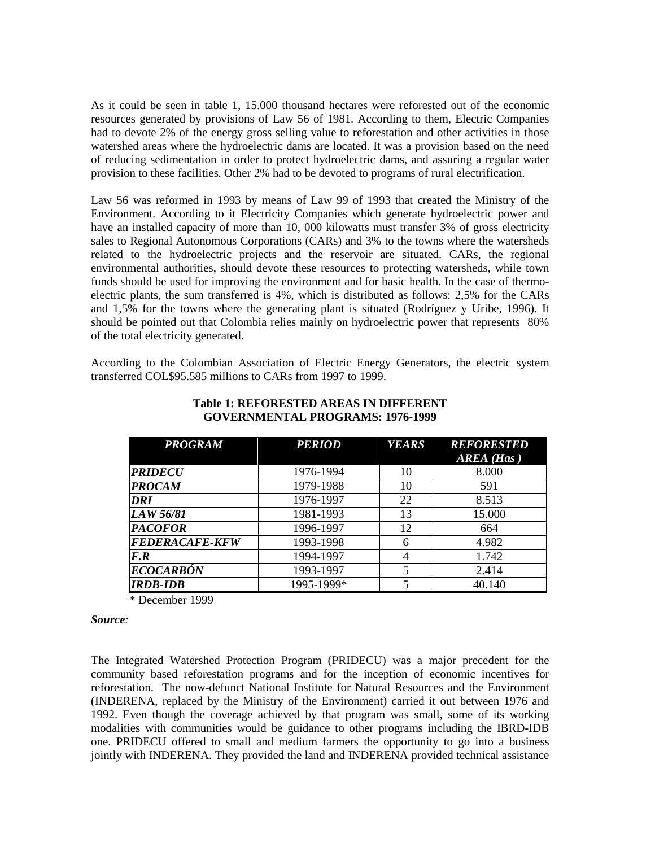As it could be seen in table 1, 15.000 thousand hectares were reforested out of the economic resources generated by provisions of Law 56 of 1981. According to them, Electric Companies had to devote 2% of the energy gross selling value to reforestation and other activities in those watershed areas where the hydroelectric dams are located. It was a provision based on the need of reducing sedimentation in order to protect hydroelectric dams, and assuring a regular water provision to these facilities. Other 2% had to be devoted to programs of rural electrification.

Law 56 was reformed in 1993 by means of Law 99 of 1993 that created the Ministry of the Environment. According to it Electricity Companies which generate hydroelectric power and have an installed capacity of more than 10, 000 kilowatts must transfer 3% of gross electricity sales to Regional Autonomous Corporations (CARs) and 3% to the towns where the watersheds related to the hydroelectric projects and the reservoir are situated. CARs, the regional environmental authorities, should devote these resources to protecting watersheds, while town funds should be used for improving the environment and for basic health. In the case of thermoelectric plants, the sum transferred is 4%, which is distributed as follows: 2,5% for the CARs and 1,5% for the towns where the generating plant is situated (Rodríguez y Uribe, 1996). It should be pointed out that Colombia relies mainly on hydroelectric power that represents 80% of the total electricity generated.

According to the Colombian Association of Electric Energy Generators, the electric system transferred COL\$95.585 millions to CARs from 1997 to 1999.

| <b>PROGRAM</b>          | <b>PERIOD</b><br><b>YEARS</b> |    | <b>REFORESTED</b> |  |
|-------------------------|-------------------------------|----|-------------------|--|
|                         |                               |    | $AREA$ (Has)      |  |
| <b>PRIDECU</b>          | 1976-1994                     | 10 | 8.000             |  |
| <b>PROCAM</b>           | 1979-1988                     | 10 | 591               |  |
| DRI                     | 1976-1997                     | 22 | 8.513             |  |
| LAW 56/81               | 1981-1993                     | 13 | 15.000            |  |
| <b>PACOFOR</b>          | 1996-1997                     | 12 | 664               |  |
| <b>FEDERACAFE-KFW</b>   | 1993-1998                     | 6  | 4.982             |  |
| F.R                     | 1994-1997                     | 4  | 1.742             |  |
| <i><b>ECOCARBÓN</b></i> | 1993-1997                     |    | 2.414             |  |
| <b>IRDB-IDB</b>         | 1995-1999*                    | 5  | 40.140            |  |

#### **Table 1: REFORESTED AREAS IN DIFFERENT GOVERNMENTAL PROGRAMS: 1976-1999**

\* December 1999

### *Source:*

The Integrated Watershed Protection Program (PRIDECU) was a major precedent for the community based reforestation programs and for the inception of economic incentives for reforestation. The now-defunct National Institute for Natural Resources and the Environment (INDERENA, replaced by the Ministry of the Environment) carried it out between 1976 and 1992. Even though the coverage achieved by that program was small, some of its working modalities with communities would be guidance to other programs including the IBRD-IDB one. PRIDECU offered to small and medium farmers the opportunity to go into a business jointly with INDERENA. They provided the land and INDERENA provided technical assistance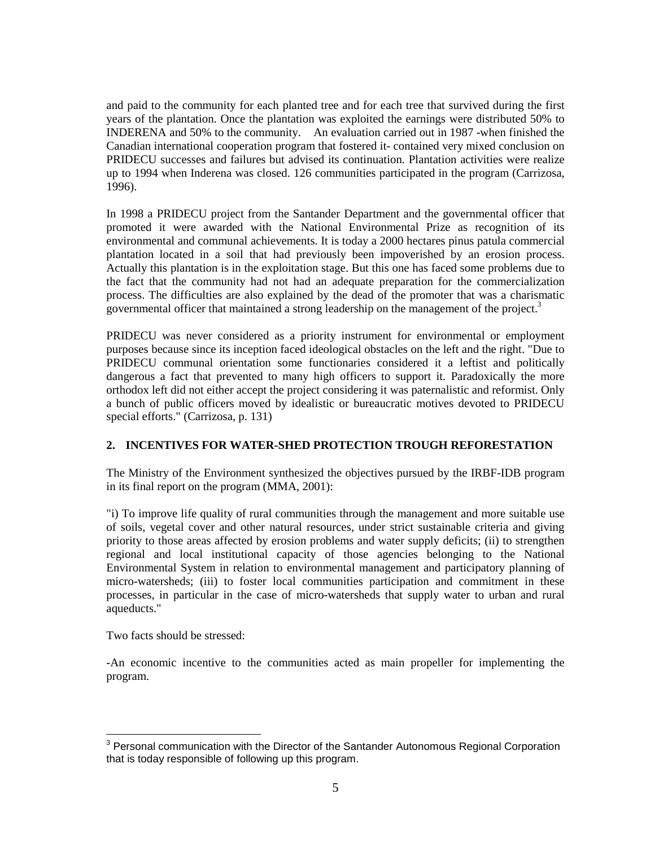and paid to the community for each planted tree and for each tree that survived during the first years of the plantation. Once the plantation was exploited the earnings were distributed 50% to INDERENA and 50% to the community. An evaluation carried out in 1987 -when finished the Canadian international cooperation program that fostered it- contained very mixed conclusion on PRIDECU successes and failures but advised its continuation. Plantation activities were realize up to 1994 when Inderena was closed. 126 communities participated in the program (Carrizosa, 1996).

In 1998 a PRIDECU project from the Santander Department and the governmental officer that promoted it were awarded with the National Environmental Prize as recognition of its environmental and communal achievements. It is today a 2000 hectares pinus patula commercial plantation located in a soil that had previously been impoverished by an erosion process. Actually this plantation is in the exploitation stage. But this one has faced some problems due to the fact that the community had not had an adequate preparation for the commercialization process. The difficulties are also explained by the dead of the promoter that was a charismatic governmental officer that maintained a strong leadership on the management of the project.<sup>3</sup>

PRIDECU was never considered as a priority instrument for environmental or employment purposes because since its inception faced ideological obstacles on the left and the right. "Due to PRIDECU communal orientation some functionaries considered it a leftist and politically dangerous a fact that prevented to many high officers to support it. Paradoxically the more orthodox left did not either accept the project considering it was paternalistic and reformist. Only a bunch of public officers moved by idealistic or bureaucratic motives devoted to PRIDECU special efforts." (Carrizosa, p. 131)

### **2. INCENTIVES FOR WATER-SHED PROTECTION TROUGH REFORESTATION**

The Ministry of the Environment synthesized the objectives pursued by the IRBF-IDB program in its final report on the program (MMA, 2001):

"i) To improve life quality of rural communities through the management and more suitable use of soils, vegetal cover and other natural resources, under strict sustainable criteria and giving priority to those areas affected by erosion problems and water supply deficits; (ii) to strengthen regional and local institutional capacity of those agencies belonging to the National Environmental System in relation to environmental management and participatory planning of micro-watersheds; (iii) to foster local communities participation and commitment in these processes, in particular in the case of micro-watersheds that supply water to urban and rural aqueducts."

Two facts should be stressed:

-An economic incentive to the communities acted as main propeller for implementing the program.

 $3$  Personal communication with the Director of the Santander Autonomous Regional Corporation that is today responsible of following up this program.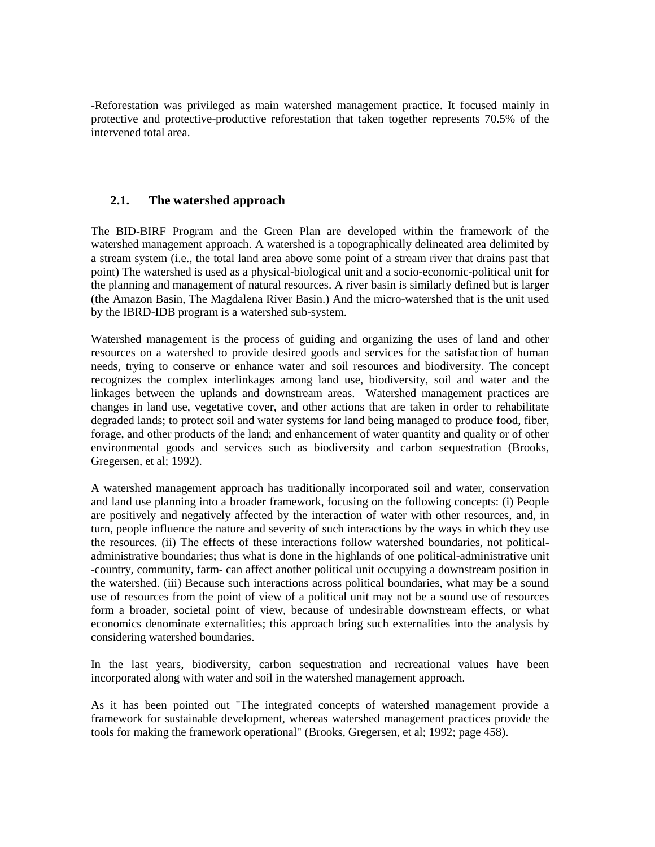-Reforestation was privileged as main watershed management practice. It focused mainly in protective and protective-productive reforestation that taken together represents 70.5% of the intervened total area.

## **2.1. The watershed approach**

The BID-BIRF Program and the Green Plan are developed within the framework of the watershed management approach. A watershed is a topographically delineated area delimited by a stream system (i.e., the total land area above some point of a stream river that drains past that point) The watershed is used as a physical-biological unit and a socio-economic-political unit for the planning and management of natural resources. A river basin is similarly defined but is larger (the Amazon Basin, The Magdalena River Basin.) And the micro-watershed that is the unit used by the IBRD-IDB program is a watershed sub-system.

Watershed management is the process of guiding and organizing the uses of land and other resources on a watershed to provide desired goods and services for the satisfaction of human needs, trying to conserve or enhance water and soil resources and biodiversity. The concept recognizes the complex interlinkages among land use, biodiversity, soil and water and the linkages between the uplands and downstream areas. Watershed management practices are changes in land use, vegetative cover, and other actions that are taken in order to rehabilitate degraded lands; to protect soil and water systems for land being managed to produce food, fiber, forage, and other products of the land; and enhancement of water quantity and quality or of other environmental goods and services such as biodiversity and carbon sequestration (Brooks, Gregersen, et al; 1992).

A watershed management approach has traditionally incorporated soil and water, conservation and land use planning into a broader framework, focusing on the following concepts: (i) People are positively and negatively affected by the interaction of water with other resources, and, in turn, people influence the nature and severity of such interactions by the ways in which they use the resources. (ii) The effects of these interactions follow watershed boundaries, not politicaladministrative boundaries; thus what is done in the highlands of one political-administrative unit -country, community, farm- can affect another political unit occupying a downstream position in the watershed. (iii) Because such interactions across political boundaries, what may be a sound use of resources from the point of view of a political unit may not be a sound use of resources form a broader, societal point of view, because of undesirable downstream effects, or what economics denominate externalities; this approach bring such externalities into the analysis by considering watershed boundaries.

In the last years, biodiversity, carbon sequestration and recreational values have been incorporated along with water and soil in the watershed management approach.

As it has been pointed out "The integrated concepts of watershed management provide a framework for sustainable development, whereas watershed management practices provide the tools for making the framework operational" (Brooks, Gregersen, et al; 1992; page 458).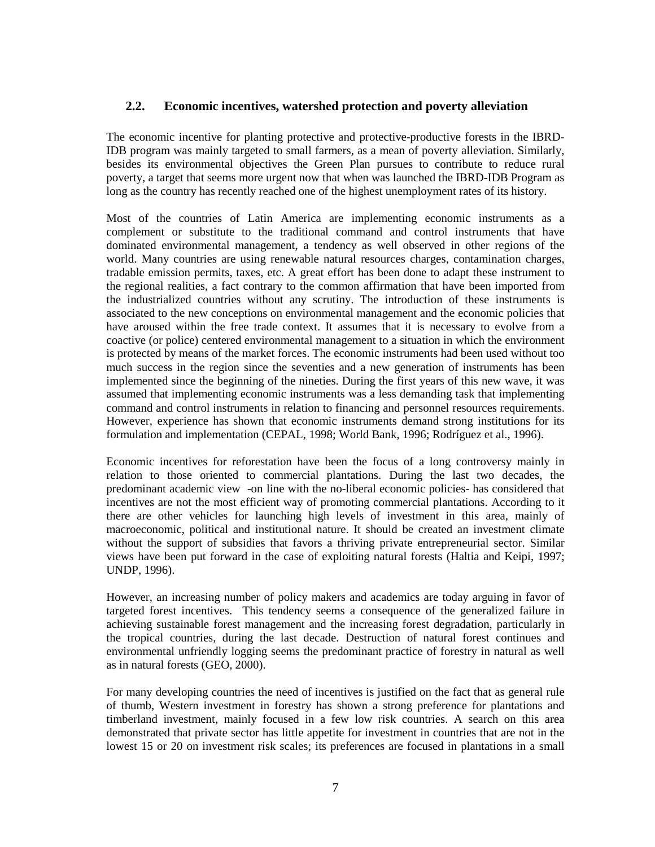### **2.2. Economic incentives, watershed protection and poverty alleviation**

The economic incentive for planting protective and protective-productive forests in the IBRD-IDB program was mainly targeted to small farmers, as a mean of poverty alleviation. Similarly, besides its environmental objectives the Green Plan pursues to contribute to reduce rural poverty, a target that seems more urgent now that when was launched the IBRD-IDB Program as long as the country has recently reached one of the highest unemployment rates of its history.

Most of the countries of Latin America are implementing economic instruments as a complement or substitute to the traditional command and control instruments that have dominated environmental management, a tendency as well observed in other regions of the world. Many countries are using renewable natural resources charges, contamination charges, tradable emission permits, taxes, etc. A great effort has been done to adapt these instrument to the regional realities, a fact contrary to the common affirmation that have been imported from the industrialized countries without any scrutiny. The introduction of these instruments is associated to the new conceptions on environmental management and the economic policies that have aroused within the free trade context. It assumes that it is necessary to evolve from a coactive (or police) centered environmental management to a situation in which the environment is protected by means of the market forces. The economic instruments had been used without too much success in the region since the seventies and a new generation of instruments has been implemented since the beginning of the nineties. During the first years of this new wave, it was assumed that implementing economic instruments was a less demanding task that implementing command and control instruments in relation to financing and personnel resources requirements. However, experience has shown that economic instruments demand strong institutions for its formulation and implementation (CEPAL, 1998; World Bank, 1996; Rodríguez et al., 1996).

Economic incentives for reforestation have been the focus of a long controversy mainly in relation to those oriented to commercial plantations. During the last two decades, the predominant academic view -on line with the no-liberal economic policies- has considered that incentives are not the most efficient way of promoting commercial plantations. According to it there are other vehicles for launching high levels of investment in this area, mainly of macroeconomic, political and institutional nature. It should be created an investment climate without the support of subsidies that favors a thriving private entrepreneurial sector. Similar views have been put forward in the case of exploiting natural forests (Haltia and Keipi, 1997; UNDP, 1996).

However, an increasing number of policy makers and academics are today arguing in favor of targeted forest incentives. This tendency seems a consequence of the generalized failure in achieving sustainable forest management and the increasing forest degradation, particularly in the tropical countries, during the last decade. Destruction of natural forest continues and environmental unfriendly logging seems the predominant practice of forestry in natural as well as in natural forests (GEO, 2000).

For many developing countries the need of incentives is justified on the fact that as general rule of thumb, Western investment in forestry has shown a strong preference for plantations and timberland investment, mainly focused in a few low risk countries. A search on this area demonstrated that private sector has little appetite for investment in countries that are not in the lowest 15 or 20 on investment risk scales; its preferences are focused in plantations in a small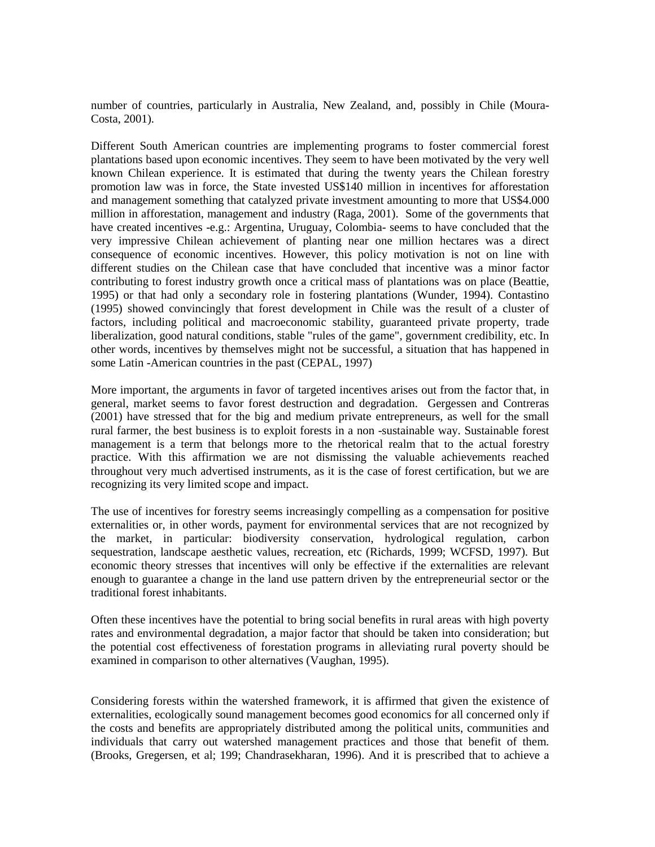number of countries, particularly in Australia, New Zealand, and, possibly in Chile (Moura-Costa, 2001).

Different South American countries are implementing programs to foster commercial forest plantations based upon economic incentives. They seem to have been motivated by the very well known Chilean experience. It is estimated that during the twenty years the Chilean forestry promotion law was in force, the State invested US\$140 million in incentives for afforestation and management something that catalyzed private investment amounting to more that US\$4.000 million in afforestation, management and industry (Raga, 2001). Some of the governments that have created incentives -e.g.: Argentina, Uruguay, Colombia- seems to have concluded that the very impressive Chilean achievement of planting near one million hectares was a direct consequence of economic incentives. However, this policy motivation is not on line with different studies on the Chilean case that have concluded that incentive was a minor factor contributing to forest industry growth once a critical mass of plantations was on place (Beattie, 1995) or that had only a secondary role in fostering plantations (Wunder, 1994). Contastino (1995) showed convincingly that forest development in Chile was the result of a cluster of factors, including political and macroeconomic stability, guaranteed private property, trade liberalization, good natural conditions, stable "rules of the game", government credibility, etc. In other words, incentives by themselves might not be successful, a situation that has happened in some Latin -American countries in the past (CEPAL, 1997)

More important, the arguments in favor of targeted incentives arises out from the factor that, in general, market seems to favor forest destruction and degradation. Gergessen and Contreras (2001) have stressed that for the big and medium private entrepreneurs, as well for the small rural farmer, the best business is to exploit forests in a non -sustainable way. Sustainable forest management is a term that belongs more to the rhetorical realm that to the actual forestry practice. With this affirmation we are not dismissing the valuable achievements reached throughout very much advertised instruments, as it is the case of forest certification, but we are recognizing its very limited scope and impact.

The use of incentives for forestry seems increasingly compelling as a compensation for positive externalities or, in other words, payment for environmental services that are not recognized by the market, in particular: biodiversity conservation, hydrological regulation, carbon sequestration, landscape aesthetic values, recreation, etc (Richards, 1999; WCFSD, 1997). But economic theory stresses that incentives will only be effective if the externalities are relevant enough to guarantee a change in the land use pattern driven by the entrepreneurial sector or the traditional forest inhabitants.

Often these incentives have the potential to bring social benefits in rural areas with high poverty rates and environmental degradation, a major factor that should be taken into consideration; but the potential cost effectiveness of forestation programs in alleviating rural poverty should be examined in comparison to other alternatives (Vaughan, 1995).

Considering forests within the watershed framework, it is affirmed that given the existence of externalities, ecologically sound management becomes good economics for all concerned only if the costs and benefits are appropriately distributed among the political units, communities and individuals that carry out watershed management practices and those that benefit of them. (Brooks, Gregersen, et al; 199; Chandrasekharan, 1996). And it is prescribed that to achieve a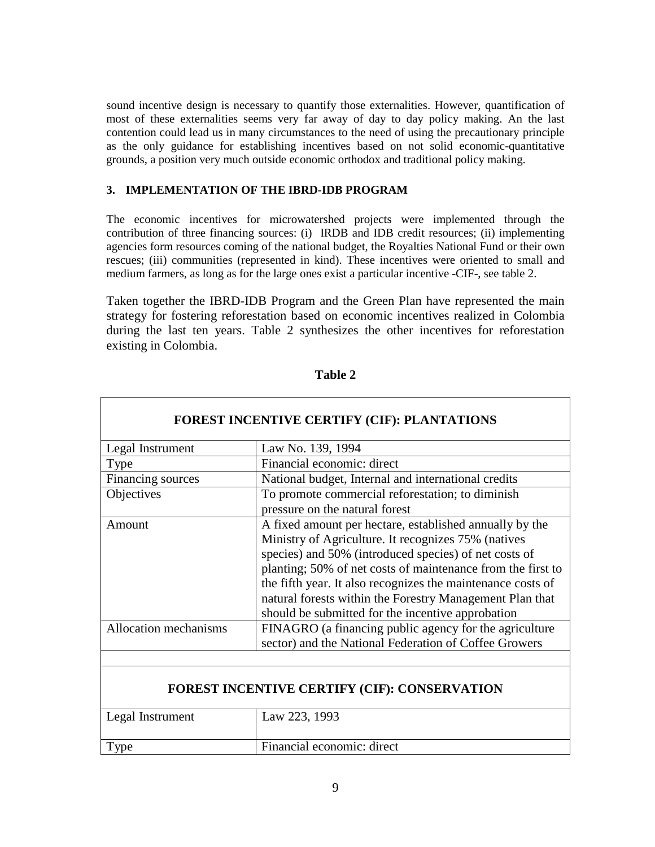sound incentive design is necessary to quantify those externalities. However, quantification of most of these externalities seems very far away of day to day policy making. An the last contention could lead us in many circumstances to the need of using the precautionary principle as the only guidance for establishing incentives based on not solid economic-quantitative grounds, a position very much outside economic orthodox and traditional policy making.

### **3. IMPLEMENTATION OF THE IBRD-IDB PROGRAM**

The economic incentives for microwatershed projects were implemented through the contribution of three financing sources: (i) IRDB and IDB credit resources; (ii) implementing agencies form resources coming of the national budget, the Royalties National Fund or their own rescues; (iii) communities (represented in kind). These incentives were oriented to small and medium farmers, as long as for the large ones exist a particular incentive -CIF-, see table 2.

Taken together the IBRD-IDB Program and the Green Plan have represented the main strategy for fostering reforestation based on economic incentives realized in Colombia during the last ten years. Table 2 synthesizes the other incentives for reforestation existing in Colombia.

| <b>FOREST INCENTIVE CERTIFY (CIF): PLANTATIONS</b>  |                                                                                                                                                                                                                                                                                                                                                                                                                        |  |  |  |  |
|-----------------------------------------------------|------------------------------------------------------------------------------------------------------------------------------------------------------------------------------------------------------------------------------------------------------------------------------------------------------------------------------------------------------------------------------------------------------------------------|--|--|--|--|
| Legal Instrument                                    | Law No. 139, 1994                                                                                                                                                                                                                                                                                                                                                                                                      |  |  |  |  |
| Type                                                | Financial economic: direct                                                                                                                                                                                                                                                                                                                                                                                             |  |  |  |  |
| Financing sources                                   | National budget, Internal and international credits                                                                                                                                                                                                                                                                                                                                                                    |  |  |  |  |
| Objectives                                          | To promote commercial reforestation; to diminish<br>pressure on the natural forest                                                                                                                                                                                                                                                                                                                                     |  |  |  |  |
| Amount                                              | A fixed amount per hectare, established annually by the<br>Ministry of Agriculture. It recognizes 75% (natives<br>species) and 50% (introduced species) of net costs of<br>planting; 50% of net costs of maintenance from the first to<br>the fifth year. It also recognizes the maintenance costs of<br>natural forests within the Forestry Management Plan that<br>should be submitted for the incentive approbation |  |  |  |  |
| Allocation mechanisms                               | FINAGRO (a financing public agency for the agriculture<br>sector) and the National Federation of Coffee Growers                                                                                                                                                                                                                                                                                                        |  |  |  |  |
|                                                     |                                                                                                                                                                                                                                                                                                                                                                                                                        |  |  |  |  |
| <b>FOREST INCENTIVE CERTIFY (CIF): CONSERVATION</b> |                                                                                                                                                                                                                                                                                                                                                                                                                        |  |  |  |  |
| Legal Instrument                                    | Law 223, 1993                                                                                                                                                                                                                                                                                                                                                                                                          |  |  |  |  |
| Type                                                | Financial economic: direct                                                                                                                                                                                                                                                                                                                                                                                             |  |  |  |  |

**Table 2**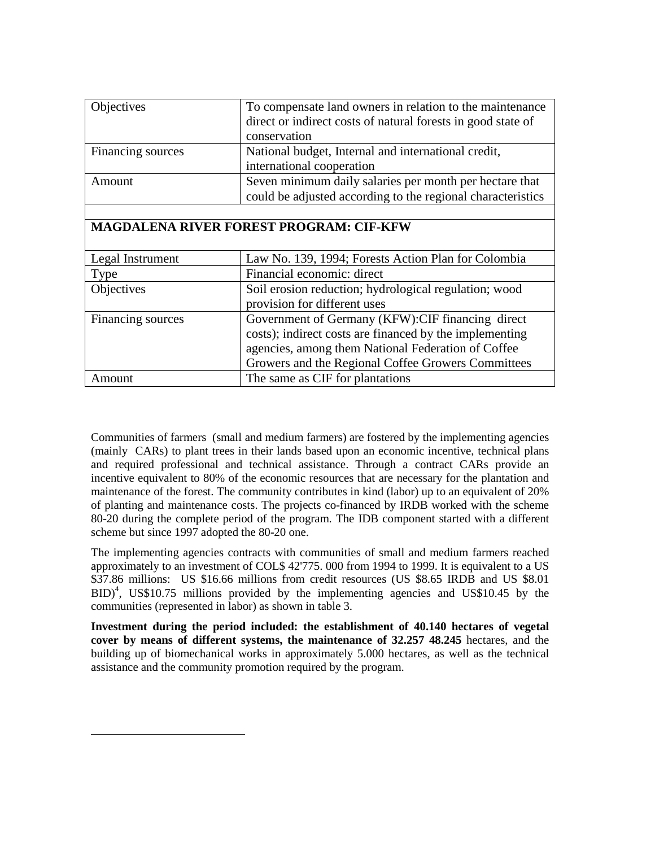| Objectives                                                          | To compensate land owners in relation to the maintenance     |  |  |  |  |  |
|---------------------------------------------------------------------|--------------------------------------------------------------|--|--|--|--|--|
|                                                                     | direct or indirect costs of natural forests in good state of |  |  |  |  |  |
|                                                                     | conservation                                                 |  |  |  |  |  |
| Financing sources                                                   | National budget, Internal and international credit,          |  |  |  |  |  |
|                                                                     | international cooperation                                    |  |  |  |  |  |
| Amount                                                              | Seven minimum daily salaries per month per hectare that      |  |  |  |  |  |
|                                                                     | could be adjusted according to the regional characteristics  |  |  |  |  |  |
|                                                                     |                                                              |  |  |  |  |  |
|                                                                     | <b>MAGDALENA RIVER FOREST PROGRAM: CIF-KFW</b>               |  |  |  |  |  |
|                                                                     |                                                              |  |  |  |  |  |
| Legal Instrument                                                    | Law No. 139, 1994; Forests Action Plan for Colombia          |  |  |  |  |  |
| Type                                                                | Financial economic: direct                                   |  |  |  |  |  |
| Objectives<br>Soil erosion reduction; hydrological regulation; wood |                                                              |  |  |  |  |  |
|                                                                     | provision for different uses                                 |  |  |  |  |  |
| Financing sources                                                   | Government of Germany (KFW): CIF financing direct            |  |  |  |  |  |
|                                                                     | costs); indirect costs are financed by the implementing      |  |  |  |  |  |
|                                                                     | agencies, among them National Federation of Coffee           |  |  |  |  |  |
| Growers and the Regional Coffee Growers Committees                  |                                                              |  |  |  |  |  |
| Amount                                                              | The same as CIF for plantations                              |  |  |  |  |  |

Communities of farmers (small and medium farmers) are fostered by the implementing agencies (mainly CARs) to plant trees in their lands based upon an economic incentive, technical plans and required professional and technical assistance. Through a contract CARs provide an incentive equivalent to 80% of the economic resources that are necessary for the plantation and maintenance of the forest. The community contributes in kind (labor) up to an equivalent of 20% of planting and maintenance costs. The projects co-financed by IRDB worked with the scheme 80-20 during the complete period of the program. The IDB component started with a different scheme but since 1997 adopted the 80-20 one.

The implementing agencies contracts with communities of small and medium farmers reached approximately to an investment of COL\$ 42'775. 000 from 1994 to 1999. It is equivalent to a US \$37.86 millions: US \$16.66 millions from credit resources (US \$8.65 IRDB and US \$8.01  $BID$ <sup>4</sup>, US\$10.75 millions provided by the implementing agencies and US\$10.45 by the communities (represented in labor) as shown in table 3.

**Investment during the period included: the establishment of 40.140 hectares of vegetal cover by means of different systems, the maintenance of 32.257 48.245** hectares, and the building up of biomechanical works in approximately 5.000 hectares, as well as the technical assistance and the community promotion required by the program.

-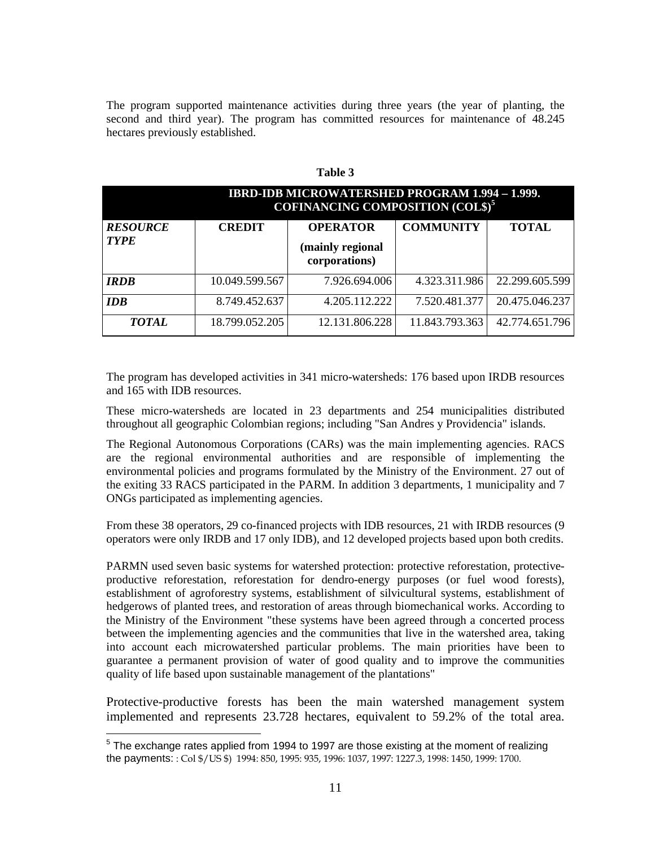The program supported maintenance activities during three years (the year of planting, the second and third year). The program has committed resources for maintenance of 48.245 hectares previously established.

|                                |                | <b>IBRD-IDB MICROWATERSHED PROGRAM 1.994 - 1.999.</b><br><b>COFINANCING COMPOSITION (COL\$)<sup>5</sup></b> |                  |                |  |  |  |
|--------------------------------|----------------|-------------------------------------------------------------------------------------------------------------|------------------|----------------|--|--|--|
| <b>RESOURCE</b><br><b>TYPE</b> | <b>CREDIT</b>  | <b>OPERATOR</b><br>(mainly regional<br>corporations)                                                        | <b>COMMUNITY</b> | <b>TOTAL</b>   |  |  |  |
| <b>IRDB</b>                    | 10.049.599.567 | 7.926.694.006                                                                                               | 4.323.311.986    | 22.299.605.599 |  |  |  |
| <b>IDB</b>                     | 8.749.452.637  | 4.205.112.222                                                                                               | 7.520.481.377    | 20.475.046.237 |  |  |  |
| <b>TOTAL</b>                   | 18.799.052.205 | 12.131.806.228                                                                                              | 11.843.793.363   | 42.774.651.796 |  |  |  |

**Table 3**

The program has developed activities in 341 micro-watersheds: 176 based upon IRDB resources and 165 with IDB resources.

These micro-watersheds are located in 23 departments and 254 municipalities distributed throughout all geographic Colombian regions; including "San Andres y Providencia" islands.

The Regional Autonomous Corporations (CARs) was the main implementing agencies. RACS are the regional environmental authorities and are responsible of implementing the environmental policies and programs formulated by the Ministry of the Environment. 27 out of the exiting 33 RACS participated in the PARM. In addition 3 departments, 1 municipality and 7 ONGs participated as implementing agencies.

From these 38 operators, 29 co-financed projects with IDB resources, 21 with IRDB resources (9 operators were only IRDB and 17 only IDB), and 12 developed projects based upon both credits.

PARMN used seven basic systems for watershed protection: protective reforestation, protectiveproductive reforestation, reforestation for dendro-energy purposes (or fuel wood forests), establishment of agroforestry systems, establishment of silvicultural systems, establishment of hedgerows of planted trees, and restoration of areas through biomechanical works. According to the Ministry of the Environment "these systems have been agreed through a concerted process between the implementing agencies and the communities that live in the watershed area, taking into account each microwatershed particular problems. The main priorities have been to guarantee a permanent provision of water of good quality and to improve the communities quality of life based upon sustainable management of the plantations"

Protective-productive forests has been the main watershed management system implemented and represents 23.728 hectares, equivalent to 59.2% of the total area.

 $<sup>5</sup>$  The exchange rates applied from 1994 to 1997 are those existing at the moment of realizing</sup> the payments: : Col \$/US \$) 1994: 850, 1995: 935, 1996: 1037, 1997: 1227.3, 1998: 1450, 1999: 1700.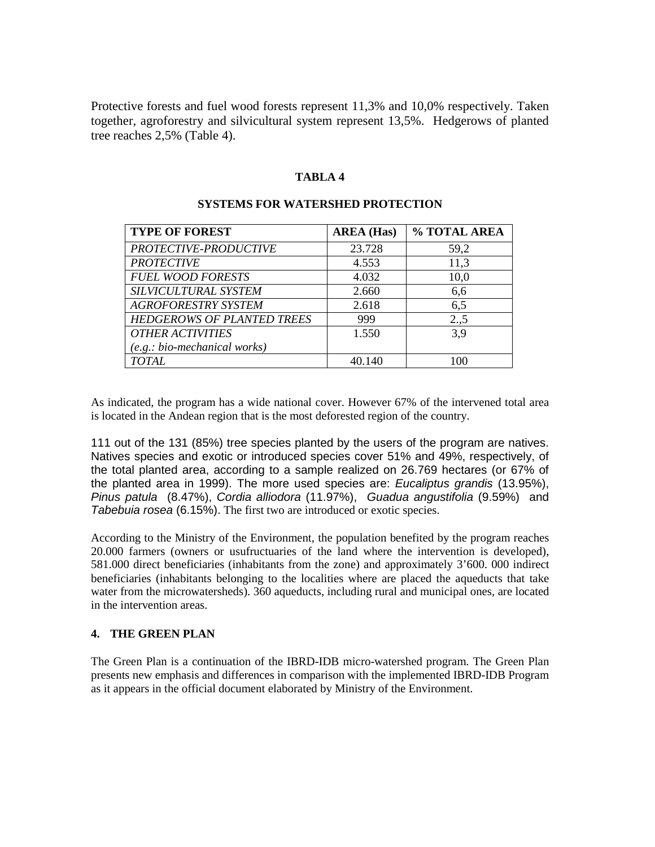Protective forests and fuel wood forests represent 11,3% and 10,0% respectively. Taken together, agroforestry and silvicultural system represent 13,5%. Hedgerows of planted tree reaches 2,5% (Table 4).

### **TABLA 4**

| <b>TYPE OF FOREST</b>             | <b>AREA</b> (Has) | % TOTAL AREA |
|-----------------------------------|-------------------|--------------|
| PROTECTIVE-PRODUCTIVE             | 23.728            | 59,2         |
| <b>PROTECTIVE</b>                 | 4.553             | 11,3         |
| <b>FUEL WOOD FORESTS</b>          | 4.032             | 10,0         |
| SILVICULTURAL SYSTEM              | 2.660             | 6,6          |
| <b>AGROFORESTRY SYSTEM</b>        | 2.618             | 6,5          |
| <b>HEDGEROWS OF PLANTED TREES</b> | 999               | 2., 5        |
| <b>OTHER ACTIVITIES</b>           | 1.550             | 3.9          |
| $(e.g.: bio-mechanical works)$    |                   |              |
| <b>TOTAL</b>                      | 40.140            | 100          |

#### **SYSTEMS FOR WATERSHED PROTECTION**

As indicated, the program has a wide national cover. However 67% of the intervened total area is located in the Andean region that is the most deforested region of the country.

111 out of the 131 (85%) tree species planted by the users of the program are natives. Natives species and exotic or introduced species cover 51% and 49%, respectively, of the total planted area, according to a sample realized on 26.769 hectares (or 67% of the planted area in 1999). The more used species are: *Eucaliptus grandis* (13.95%), *Pinus patula* (8.47%), *Cordia alliodora* (11.97%), *Guadua angustifolia* (9.59%) and *Tabebuia rosea* (6.15%). The first two are introduced or exotic species.

According to the Ministry of the Environment, the population benefited by the program reaches 20.000 farmers (owners or usufructuaries of the land where the intervention is developed), 581.000 direct beneficiaries (inhabitants from the zone) and approximately 3'600. 000 indirect beneficiaries (inhabitants belonging to the localities where are placed the aqueducts that take water from the microwatersheds). 360 aqueducts, including rural and municipal ones, are located in the intervention areas.

#### **4. THE GREEN PLAN**

The Green Plan is a continuation of the IBRD-IDB micro-watershed program. The Green Plan presents new emphasis and differences in comparison with the implemented IBRD-IDB Program as it appears in the official document elaborated by Ministry of the Environment.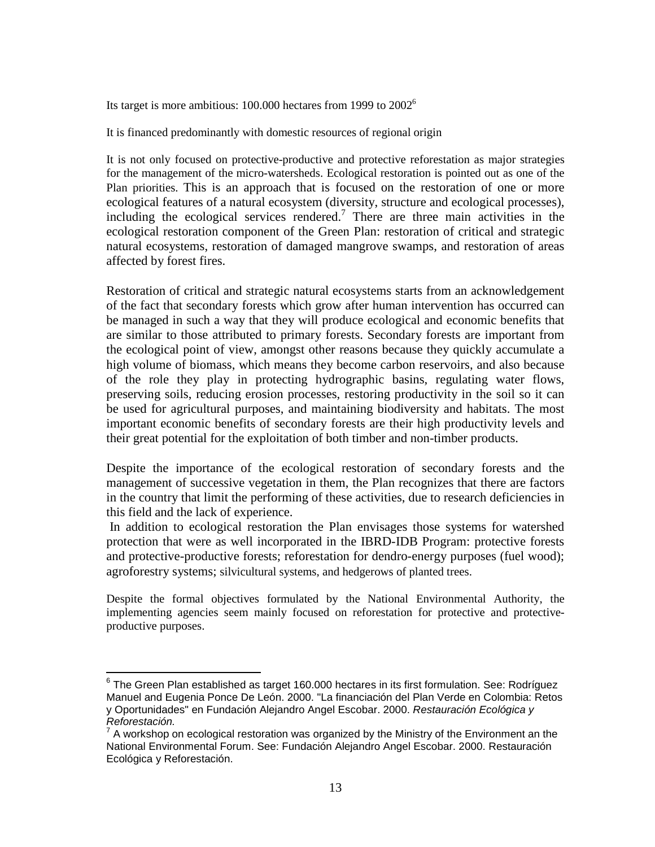Its target is more ambitious: 100.000 hectares from 1999 to 20026

It is financed predominantly with domestic resources of regional origin

It is not only focused on protective-productive and protective reforestation as major strategies for the management of the micro-watersheds. Ecological restoration is pointed out as one of the Plan priorities. This is an approach that is focused on the restoration of one or more ecological features of a natural ecosystem (diversity, structure and ecological processes), including the ecological services rendered.<sup>7</sup> There are three main activities in the ecological restoration component of the Green Plan: restoration of critical and strategic natural ecosystems, restoration of damaged mangrove swamps, and restoration of areas affected by forest fires.

Restoration of critical and strategic natural ecosystems starts from an acknowledgement of the fact that secondary forests which grow after human intervention has occurred can be managed in such a way that they will produce ecological and economic benefits that are similar to those attributed to primary forests. Secondary forests are important from the ecological point of view, amongst other reasons because they quickly accumulate a high volume of biomass, which means they become carbon reservoirs, and also because of the role they play in protecting hydrographic basins, regulating water flows, preserving soils, reducing erosion processes, restoring productivity in the soil so it can be used for agricultural purposes, and maintaining biodiversity and habitats. The most important economic benefits of secondary forests are their high productivity levels and their great potential for the exploitation of both timber and non-timber products.

Despite the importance of the ecological restoration of secondary forests and the management of successive vegetation in them, the Plan recognizes that there are factors in the country that limit the performing of these activities, due to research deficiencies in this field and the lack of experience.

In addition to ecological restoration the Plan envisages those systems for watershed protection that were as well incorporated in the IBRD-IDB Program: protective forests and protective-productive forests; reforestation for dendro-energy purposes (fuel wood); agroforestry systems; silvicultural systems, and hedgerows of planted trees.

Despite the formal objectives formulated by the National Environmental Authority, the implementing agencies seem mainly focused on reforestation for protective and protectiveproductive purposes.

 $6$  The Green Plan established as target 160.000 hectares in its first formulation. See: Rodríguez Manuel and Eugenia Ponce De León. 2000. "La financiación del Plan Verde en Colombia: Retos y Oportunidades" en Fundación Alejandro Angel Escobar. 2000. *Restauración Ecológica y Reforestación.*

<sup>7</sup> A workshop on ecological restoration was organized by the Ministry of the Environment an the National Environmental Forum. See: Fundación Alejandro Angel Escobar. 2000. Restauración Ecológica y Reforestación.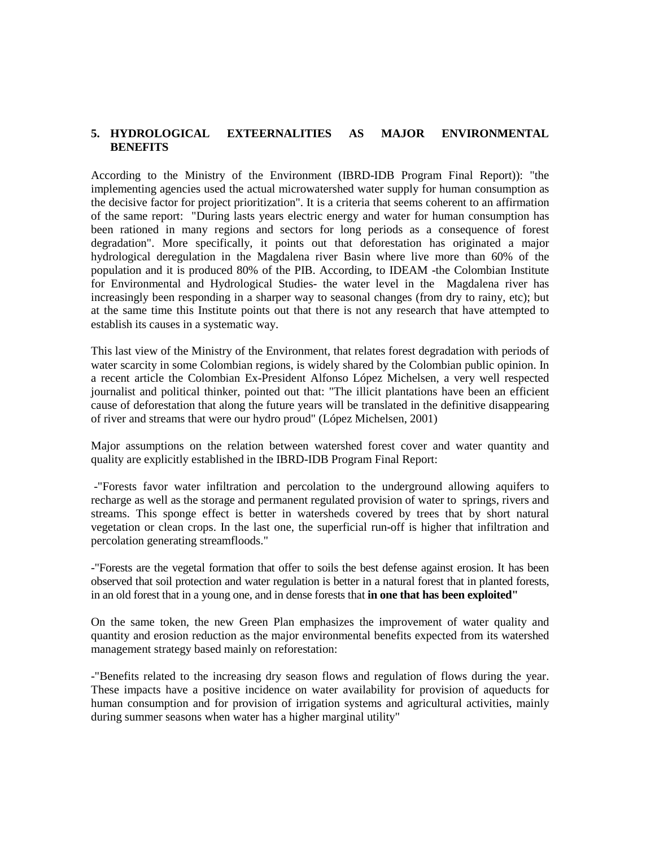### **5. HYDROLOGICAL EXTEERNALITIES AS MAJOR ENVIRONMENTAL BENEFITS**

According to the Ministry of the Environment (IBRD-IDB Program Final Report)): "the implementing agencies used the actual microwatershed water supply for human consumption as the decisive factor for project prioritization". It is a criteria that seems coherent to an affirmation of the same report: "During lasts years electric energy and water for human consumption has been rationed in many regions and sectors for long periods as a consequence of forest degradation". More specifically, it points out that deforestation has originated a major hydrological deregulation in the Magdalena river Basin where live more than 60% of the population and it is produced 80% of the PIB. According, to IDEAM -the Colombian Institute for Environmental and Hydrological Studies- the water level in the Magdalena river has increasingly been responding in a sharper way to seasonal changes (from dry to rainy, etc); but at the same time this Institute points out that there is not any research that have attempted to establish its causes in a systematic way.

This last view of the Ministry of the Environment, that relates forest degradation with periods of water scarcity in some Colombian regions, is widely shared by the Colombian public opinion. In a recent article the Colombian Ex-President Alfonso López Michelsen, a very well respected journalist and political thinker, pointed out that: "The illicit plantations have been an efficient cause of deforestation that along the future years will be translated in the definitive disappearing of river and streams that were our hydro proud" (López Michelsen, 2001)

Major assumptions on the relation between watershed forest cover and water quantity and quality are explicitly established in the IBRD-IDB Program Final Report:

-"Forests favor water infiltration and percolation to the underground allowing aquifers to recharge as well as the storage and permanent regulated provision of water to springs, rivers and streams. This sponge effect is better in watersheds covered by trees that by short natural vegetation or clean crops. In the last one, the superficial run-off is higher that infiltration and percolation generating streamfloods."

-"Forests are the vegetal formation that offer to soils the best defense against erosion. It has been observed that soil protection and water regulation is better in a natural forest that in planted forests, in an old forest that in a young one, and in dense forests that **in one that has been exploited"**

On the same token, the new Green Plan emphasizes the improvement of water quality and quantity and erosion reduction as the major environmental benefits expected from its watershed management strategy based mainly on reforestation:

-"Benefits related to the increasing dry season flows and regulation of flows during the year. These impacts have a positive incidence on water availability for provision of aqueducts for human consumption and for provision of irrigation systems and agricultural activities, mainly during summer seasons when water has a higher marginal utility"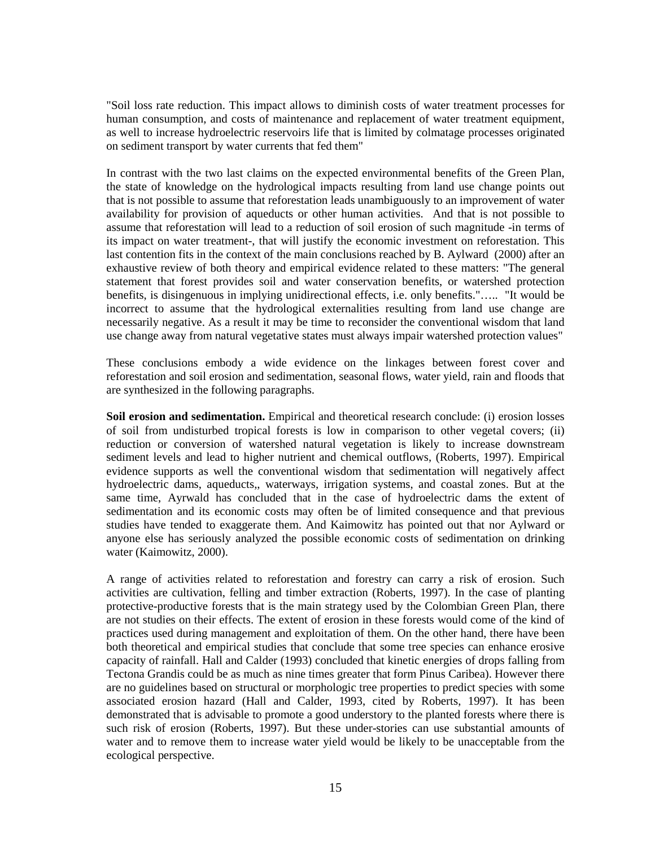"Soil loss rate reduction. This impact allows to diminish costs of water treatment processes for human consumption, and costs of maintenance and replacement of water treatment equipment, as well to increase hydroelectric reservoirs life that is limited by colmatage processes originated on sediment transport by water currents that fed them"

In contrast with the two last claims on the expected environmental benefits of the Green Plan, the state of knowledge on the hydrological impacts resulting from land use change points out that is not possible to assume that reforestation leads unambiguously to an improvement of water availability for provision of aqueducts or other human activities. And that is not possible to assume that reforestation will lead to a reduction of soil erosion of such magnitude -in terms of its impact on water treatment-, that will justify the economic investment on reforestation. This last contention fits in the context of the main conclusions reached by B. Aylward (2000) after an exhaustive review of both theory and empirical evidence related to these matters: "The general statement that forest provides soil and water conservation benefits, or watershed protection benefits, is disingenuous in implying unidirectional effects, i.e. only benefits."….. "It would be incorrect to assume that the hydrological externalities resulting from land use change are necessarily negative. As a result it may be time to reconsider the conventional wisdom that land use change away from natural vegetative states must always impair watershed protection values"

These conclusions embody a wide evidence on the linkages between forest cover and reforestation and soil erosion and sedimentation, seasonal flows, water yield, rain and floods that are synthesized in the following paragraphs.

**Soil erosion and sedimentation.** Empirical and theoretical research conclude: (i) erosion losses of soil from undisturbed tropical forests is low in comparison to other vegetal covers; (ii) reduction or conversion of watershed natural vegetation is likely to increase downstream sediment levels and lead to higher nutrient and chemical outflows, (Roberts, 1997). Empirical evidence supports as well the conventional wisdom that sedimentation will negatively affect hydroelectric dams, aqueducts,, waterways, irrigation systems, and coastal zones. But at the same time, Ayrwald has concluded that in the case of hydroelectric dams the extent of sedimentation and its economic costs may often be of limited consequence and that previous studies have tended to exaggerate them. And Kaimowitz has pointed out that nor Aylward or anyone else has seriously analyzed the possible economic costs of sedimentation on drinking water (Kaimowitz, 2000).

A range of activities related to reforestation and forestry can carry a risk of erosion. Such activities are cultivation, felling and timber extraction (Roberts, 1997). In the case of planting protective-productive forests that is the main strategy used by the Colombian Green Plan, there are not studies on their effects. The extent of erosion in these forests would come of the kind of practices used during management and exploitation of them. On the other hand, there have been both theoretical and empirical studies that conclude that some tree species can enhance erosive capacity of rainfall. Hall and Calder (1993) concluded that kinetic energies of drops falling from Tectona Grandis could be as much as nine times greater that form Pinus Caribea). However there are no guidelines based on structural or morphologic tree properties to predict species with some associated erosion hazard (Hall and Calder, 1993, cited by Roberts, 1997). It has been demonstrated that is advisable to promote a good understory to the planted forests where there is such risk of erosion (Roberts, 1997). But these under-stories can use substantial amounts of water and to remove them to increase water yield would be likely to be unacceptable from the ecological perspective.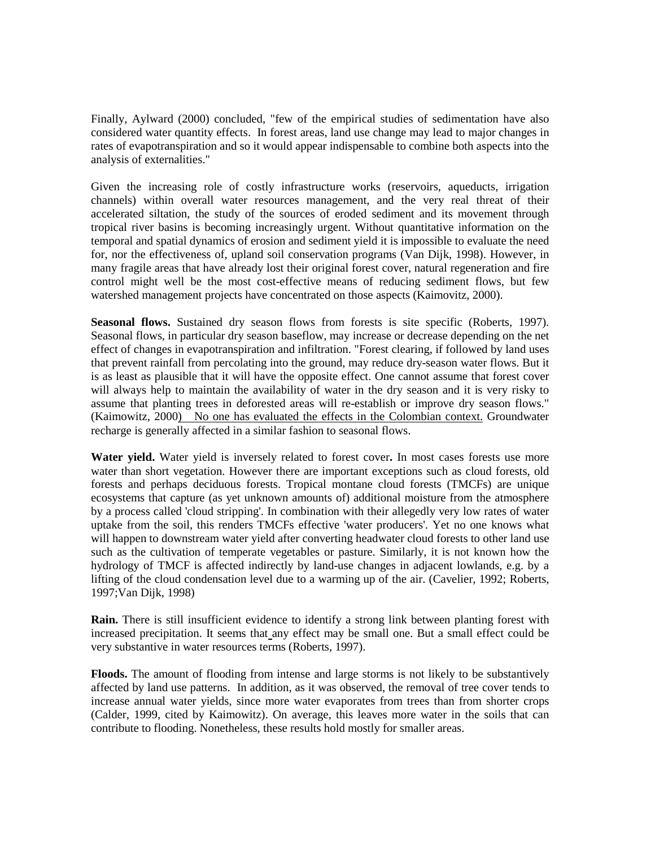Finally, Aylward (2000) concluded, "few of the empirical studies of sedimentation have also considered water quantity effects. In forest areas, land use change may lead to major changes in rates of evapotranspiration and so it would appear indispensable to combine both aspects into the analysis of externalities."

Given the increasing role of costly infrastructure works (reservoirs, aqueducts, irrigation channels) within overall water resources management, and the very real threat of their accelerated siltation, the study of the sources of eroded sediment and its movement through tropical river basins is becoming increasingly urgent. Without quantitative information on the temporal and spatial dynamics of erosion and sediment yield it is impossible to evaluate the need for, nor the effectiveness of, upland soil conservation programs (Van Dijk, 1998). However, in many fragile areas that have already lost their original forest cover, natural regeneration and fire control might well be the most cost-effective means of reducing sediment flows, but few watershed management projects have concentrated on those aspects (Kaimovitz, 2000).

Seasonal flows. Sustained dry season flows from forests is site specific (Roberts, 1997). Seasonal flows, in particular dry season baseflow, may increase or decrease depending on the net effect of changes in evapotranspiration and infiltration. "Forest clearing, if followed by land uses that prevent rainfall from percolating into the ground, may reduce dry-season water flows. But it is as least as plausible that it will have the opposite effect. One cannot assume that forest cover will always help to maintain the availability of water in the dry season and it is very risky to assume that planting trees in deforested areas will re-establish or improve dry season flows." (Kaimowitz, 2000) No one has evaluated the effects in the Colombian context. Groundwater recharge is generally affected in a similar fashion to seasonal flows.

**Water yield.** Water yield is inversely related to forest cover**.** In most cases forests use more water than short vegetation. However there are important exceptions such as cloud forests, old forests and perhaps deciduous forests. Tropical montane cloud forests (TMCFs) are unique ecosystems that capture (as yet unknown amounts of) additional moisture from the atmosphere by a process called 'cloud stripping'. In combination with their allegedly very low rates of water uptake from the soil, this renders TMCFs effective 'water producers'. Yet no one knows what will happen to downstream water yield after converting headwater cloud forests to other land use such as the cultivation of temperate vegetables or pasture. Similarly, it is not known how the hydrology of TMCF is affected indirectly by land-use changes in adjacent lowlands, e.g. by a lifting of the cloud condensation level due to a warming up of the air. (Cavelier, 1992; Roberts, 1997;Van Dijk, 1998)

**Rain.** There is still insufficient evidence to identify a strong link between planting forest with increased precipitation. It seems that any effect may be small one. But a small effect could be very substantive in water resources terms (Roberts, 1997).

**Floods.** The amount of flooding from intense and large storms is not likely to be substantively affected by land use patterns. In addition, as it was observed, the removal of tree cover tends to increase annual water yields, since more water evaporates from trees than from shorter crops (Calder, 1999, cited by Kaimowitz). On average, this leaves more water in the soils that can contribute to flooding. Nonetheless, these results hold mostly for smaller areas.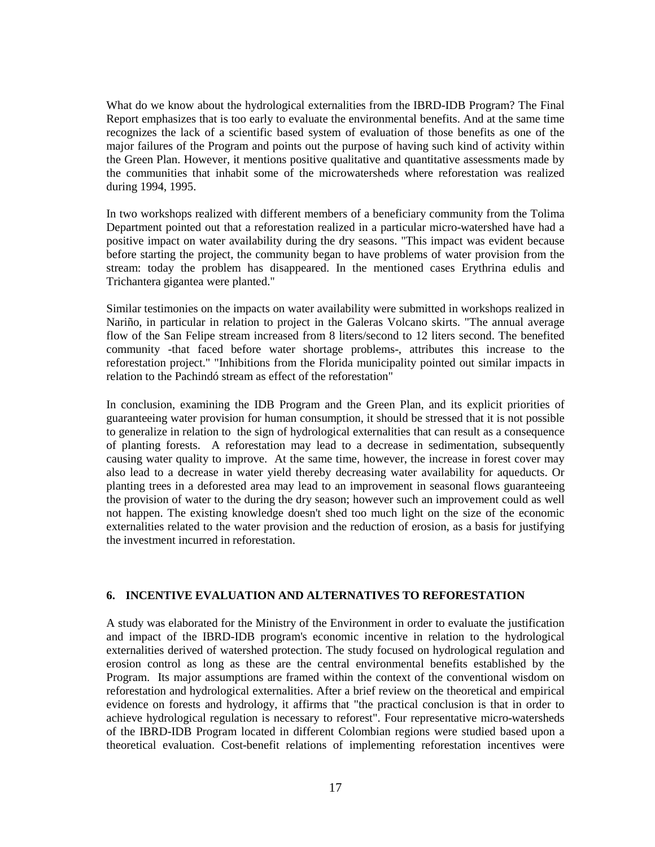What do we know about the hydrological externalities from the IBRD-IDB Program? The Final Report emphasizes that is too early to evaluate the environmental benefits. And at the same time recognizes the lack of a scientific based system of evaluation of those benefits as one of the major failures of the Program and points out the purpose of having such kind of activity within the Green Plan. However, it mentions positive qualitative and quantitative assessments made by the communities that inhabit some of the microwatersheds where reforestation was realized during 1994, 1995.

In two workshops realized with different members of a beneficiary community from the Tolima Department pointed out that a reforestation realized in a particular micro-watershed have had a positive impact on water availability during the dry seasons. "This impact was evident because before starting the project, the community began to have problems of water provision from the stream: today the problem has disappeared. In the mentioned cases Erythrina edulis and Trichantera gigantea were planted."

Similar testimonies on the impacts on water availability were submitted in workshops realized in Nariño, in particular in relation to project in the Galeras Volcano skirts. "The annual average flow of the San Felipe stream increased from 8 liters/second to 12 liters second. The benefited community -that faced before water shortage problems-, attributes this increase to the reforestation project." "Inhibitions from the Florida municipality pointed out similar impacts in relation to the Pachindó stream as effect of the reforestation"

In conclusion, examining the IDB Program and the Green Plan, and its explicit priorities of guaranteeing water provision for human consumption, it should be stressed that it is not possible to generalize in relation to the sign of hydrological externalities that can result as a consequence of planting forests. A reforestation may lead to a decrease in sedimentation, subsequently causing water quality to improve. At the same time, however, the increase in forest cover may also lead to a decrease in water yield thereby decreasing water availability for aqueducts. Or planting trees in a deforested area may lead to an improvement in seasonal flows guaranteeing the provision of water to the during the dry season; however such an improvement could as well not happen. The existing knowledge doesn't shed too much light on the size of the economic externalities related to the water provision and the reduction of erosion, as a basis for justifying the investment incurred in reforestation.

### **6. INCENTIVE EVALUATION AND ALTERNATIVES TO REFORESTATION**

A study was elaborated for the Ministry of the Environment in order to evaluate the justification and impact of the IBRD-IDB program's economic incentive in relation to the hydrological externalities derived of watershed protection. The study focused on hydrological regulation and erosion control as long as these are the central environmental benefits established by the Program. Its major assumptions are framed within the context of the conventional wisdom on reforestation and hydrological externalities. After a brief review on the theoretical and empirical evidence on forests and hydrology, it affirms that "the practical conclusion is that in order to achieve hydrological regulation is necessary to reforest". Four representative micro-watersheds of the IBRD-IDB Program located in different Colombian regions were studied based upon a theoretical evaluation. Cost-benefit relations of implementing reforestation incentives were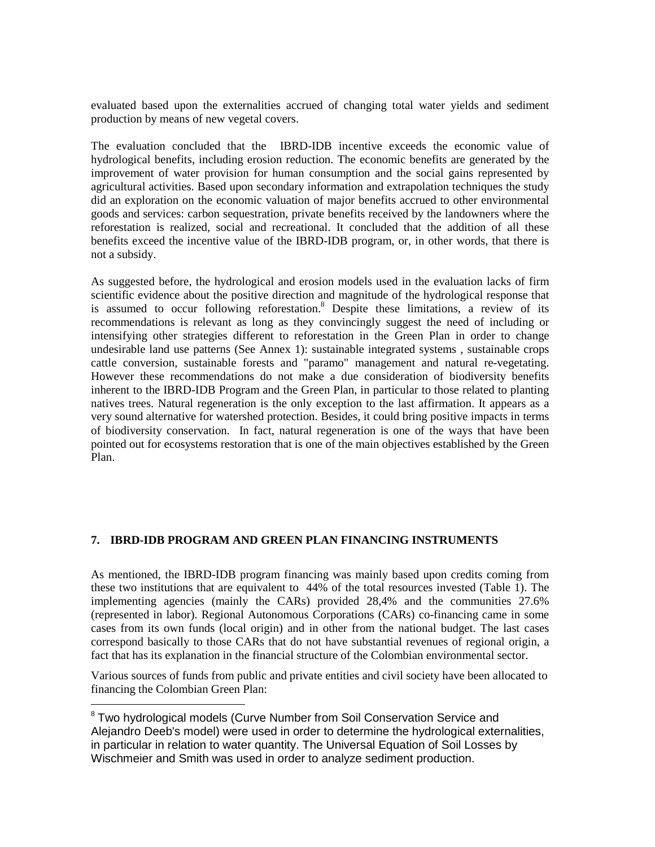evaluated based upon the externalities accrued of changing total water yields and sediment production by means of new vegetal covers.

The evaluation concluded that the IBRD-IDB incentive exceeds the economic value of hydrological benefits, including erosion reduction. The economic benefits are generated by the improvement of water provision for human consumption and the social gains represented by agricultural activities. Based upon secondary information and extrapolation techniques the study did an exploration on the economic valuation of major benefits accrued to other environmental goods and services: carbon sequestration, private benefits received by the landowners where the reforestation is realized, social and recreational. It concluded that the addition of all these benefits exceed the incentive value of the IBRD-IDB program, or, in other words, that there is not a subsidy.

As suggested before, the hydrological and erosion models used in the evaluation lacks of firm scientific evidence about the positive direction and magnitude of the hydrological response that is assumed to occur following reforestation.<sup>8</sup> Despite these limitations, a review of its recommendations is relevant as long as they convincingly suggest the need of including or intensifying other strategies different to reforestation in the Green Plan in order to change undesirable land use patterns (See Annex 1): sustainable integrated systems , sustainable crops cattle conversion, sustainable forests and "paramo" management and natural re-vegetating. However these recommendations do not make a due consideration of biodiversity benefits inherent to the IBRD-IDB Program and the Green Plan, in particular to those related to planting natives trees. Natural regeneration is the only exception to the last affirmation. It appears as a very sound alternative for watershed protection. Besides, it could bring positive impacts in terms of biodiversity conservation. In fact, natural regeneration is one of the ways that have been pointed out for ecosystems restoration that is one of the main objectives established by the Green Plan.

### **7. IBRD-IDB PROGRAM AND GREEN PLAN FINANCING INSTRUMENTS**

As mentioned, the IBRD-IDB program financing was mainly based upon credits coming from these two institutions that are equivalent to 44% of the total resources invested (Table 1). The implementing agencies (mainly the CARs) provided 28,4% and the communities 27.6% (represented in labor). Regional Autonomous Corporations (CARs) co-financing came in some cases from its own funds (local origin) and in other from the national budget. The last cases correspond basically to those CARs that do not have substantial revenues of regional origin, a fact that has its explanation in the financial structure of the Colombian environmental sector.

Various sources of funds from public and private entities and civil society have been allocated to financing the Colombian Green Plan:

1

<sup>&</sup>lt;sup>8</sup> Two hydrological models (Curve Number from Soil Conservation Service and Alejandro Deeb's model) were used in order to determine the hydrological externalities, in particular in relation to water quantity. The Universal Equation of Soil Losses by Wischmeier and Smith was used in order to analyze sediment production.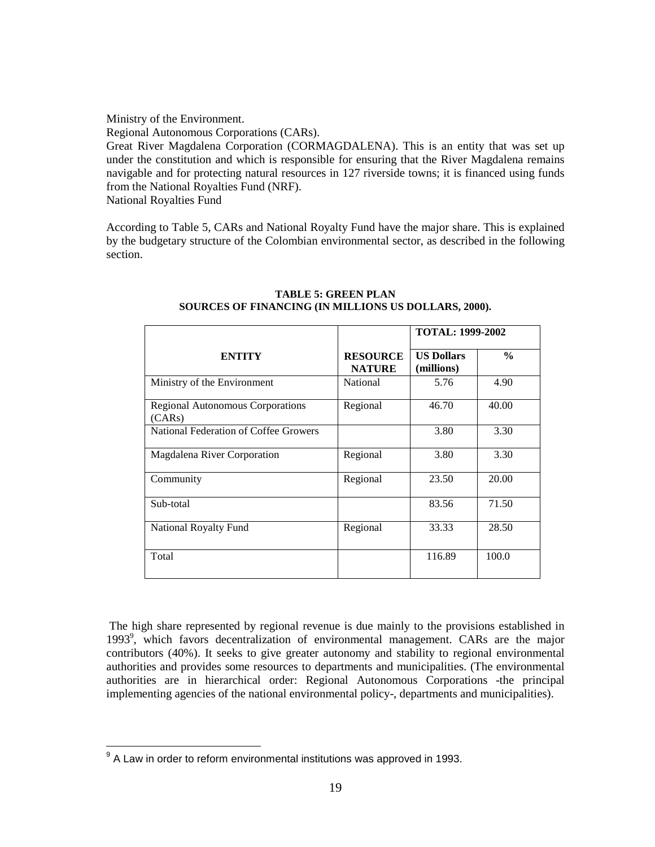Ministry of the Environment.

Regional Autonomous Corporations (CARs).

Great River Magdalena Corporation (CORMAGDALENA). This is an entity that was set up under the constitution and which is responsible for ensuring that the River Magdalena remains navigable and for protecting natural resources in 127 riverside towns; it is financed using funds from the National Royalties Fund (NRF). National Royalties Fund

According to Table 5, CARs and National Royalty Fund have the major share. This is explained by the budgetary structure of the Colombian environmental sector, as described in the following section.

|                                            |                                  | <b>TOTAL: 1999-2002</b>         |               |
|--------------------------------------------|----------------------------------|---------------------------------|---------------|
| <b>ENTITY</b>                              | <b>RESOURCE</b><br><b>NATURE</b> | <b>US Dollars</b><br>(millions) | $\frac{0}{0}$ |
| Ministry of the Environment                | <b>National</b>                  | 5.76                            | 4.90          |
| Regional Autonomous Corporations<br>(CARs) | Regional                         | 46.70                           | 40.00         |
| National Federation of Coffee Growers      |                                  | 3.80                            | 3.30          |
| Magdalena River Corporation                | Regional                         | 3.80                            | 3.30          |
| Community                                  | Regional                         | 23.50                           | 20.00         |
| Sub-total                                  |                                  | 83.56                           | 71.50         |
| National Royalty Fund                      | Regional                         | 33.33                           | 28.50         |
| Total                                      |                                  | 116.89                          | 100.0         |

#### **TABLE 5: GREEN PLAN SOURCES OF FINANCING (IN MILLIONS US DOLLARS, 2000).**

The high share represented by regional revenue is due mainly to the provisions established in 1993<sup>9</sup>, which favors decentralization of environmental management. CARs are the major contributors (40%). It seeks to give greater autonomy and stability to regional environmental authorities and provides some resources to departments and municipalities. (The environmental authorities are in hierarchical order: Regional Autonomous Corporations -the principal implementing agencies of the national environmental policy-, departments and municipalities).

<sup>&</sup>lt;sup>9</sup> A Law in order to reform environmental institutions was approved in 1993.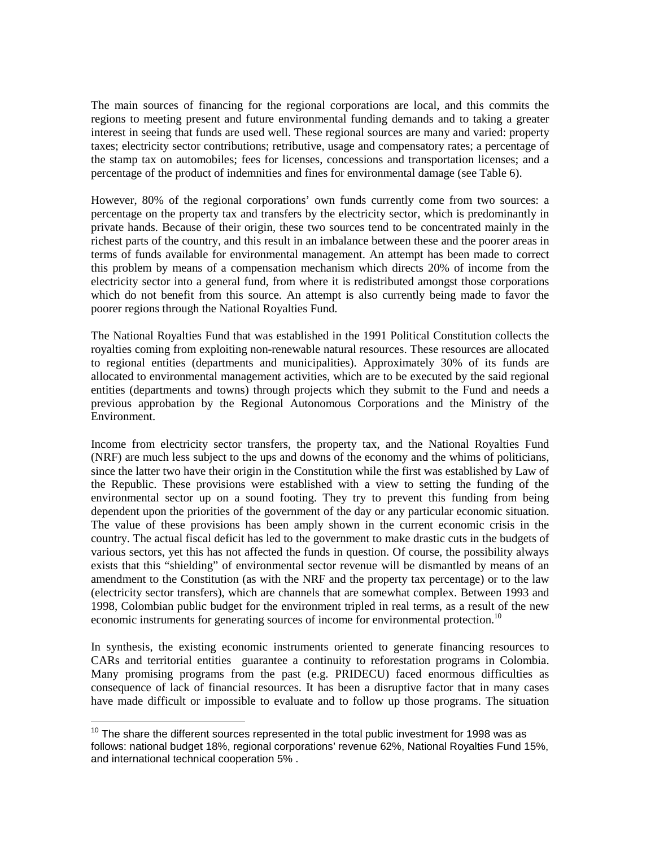The main sources of financing for the regional corporations are local, and this commits the regions to meeting present and future environmental funding demands and to taking a greater interest in seeing that funds are used well. These regional sources are many and varied: property taxes; electricity sector contributions; retributive, usage and compensatory rates; a percentage of the stamp tax on automobiles; fees for licenses, concessions and transportation licenses; and a percentage of the product of indemnities and fines for environmental damage (see Table 6).

However, 80% of the regional corporations' own funds currently come from two sources: a percentage on the property tax and transfers by the electricity sector, which is predominantly in private hands. Because of their origin, these two sources tend to be concentrated mainly in the richest parts of the country, and this result in an imbalance between these and the poorer areas in terms of funds available for environmental management. An attempt has been made to correct this problem by means of a compensation mechanism which directs 20% of income from the electricity sector into a general fund, from where it is redistributed amongst those corporations which do not benefit from this source. An attempt is also currently being made to favor the poorer regions through the National Royalties Fund.

The National Royalties Fund that was established in the 1991 Political Constitution collects the royalties coming from exploiting non-renewable natural resources. These resources are allocated to regional entities (departments and municipalities). Approximately 30% of its funds are allocated to environmental management activities, which are to be executed by the said regional entities (departments and towns) through projects which they submit to the Fund and needs a previous approbation by the Regional Autonomous Corporations and the Ministry of the Environment.

Income from electricity sector transfers, the property tax, and the National Royalties Fund (NRF) are much less subject to the ups and downs of the economy and the whims of politicians, since the latter two have their origin in the Constitution while the first was established by Law of the Republic. These provisions were established with a view to setting the funding of the environmental sector up on a sound footing. They try to prevent this funding from being dependent upon the priorities of the government of the day or any particular economic situation. The value of these provisions has been amply shown in the current economic crisis in the country. The actual fiscal deficit has led to the government to make drastic cuts in the budgets of various sectors, yet this has not affected the funds in question. Of course, the possibility always exists that this "shielding" of environmental sector revenue will be dismantled by means of an amendment to the Constitution (as with the NRF and the property tax percentage) or to the law (electricity sector transfers), which are channels that are somewhat complex. Between 1993 and 1998, Colombian public budget for the environment tripled in real terms, as a result of the new economic instruments for generating sources of income for environmental protection.<sup>10</sup>

In synthesis, the existing economic instruments oriented to generate financing resources to CARs and territorial entities guarantee a continuity to reforestation programs in Colombia. Many promising programs from the past (e.g. PRIDECU) faced enormous difficulties as consequence of lack of financial resources. It has been a disruptive factor that in many cases have made difficult or impossible to evaluate and to follow up those programs. The situation

 $10$  The share the different sources represented in the total public investment for 1998 was as follows: national budget 18%, regional corporations' revenue 62%, National Royalties Fund 15%, and international technical cooperation 5% .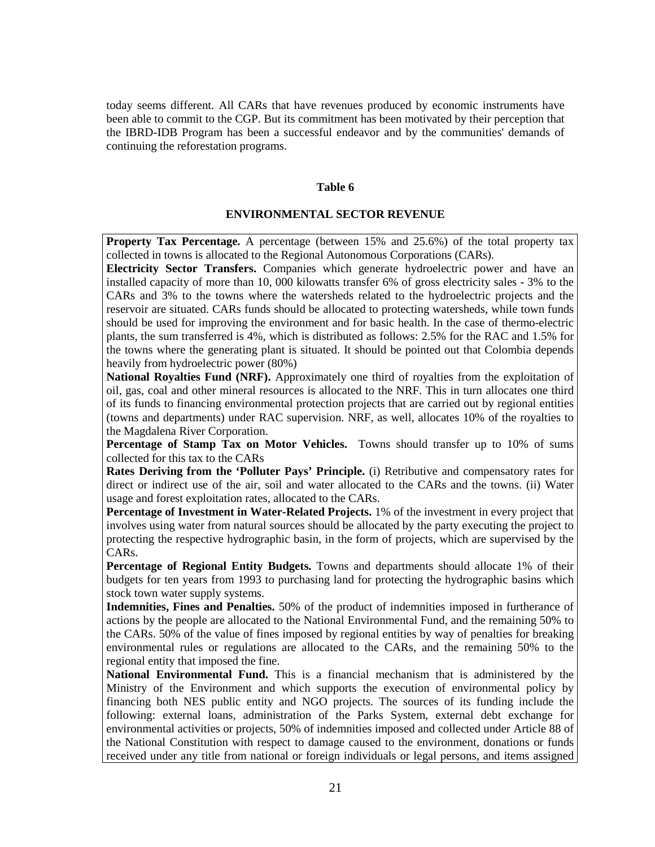today seems different. All CARs that have revenues produced by economic instruments have been able to commit to the CGP. But its commitment has been motivated by their perception that the IBRD-IDB Program has been a successful endeavor and by the communities' demands of continuing the reforestation programs.

#### **Table 6**

#### **ENVIRONMENTAL SECTOR REVENUE**

**Property Tax Percentage.** A percentage (between 15% and 25.6%) of the total property tax collected in towns is allocated to the Regional Autonomous Corporations (CARs).

**Electricity Sector Transfers.** Companies which generate hydroelectric power and have an installed capacity of more than 10, 000 kilowatts transfer 6% of gross electricity sales - 3% to the CARs and 3% to the towns where the watersheds related to the hydroelectric projects and the reservoir are situated. CARs funds should be allocated to protecting watersheds, while town funds should be used for improving the environment and for basic health. In the case of thermo-electric plants, the sum transferred is 4%, which is distributed as follows: 2.5% for the RAC and 1.5% for the towns where the generating plant is situated. It should be pointed out that Colombia depends heavily from hydroelectric power (80%)

**National Royalties Fund (NRF).** Approximately one third of royalties from the exploitation of oil, gas, coal and other mineral resources is allocated to the NRF. This in turn allocates one third of its funds to financing environmental protection projects that are carried out by regional entities (towns and departments) under RAC supervision. NRF, as well, allocates 10% of the royalties to the Magdalena River Corporation.

**Percentage of Stamp Tax on Motor Vehicles.** Towns should transfer up to 10% of sums collected for this tax to the CARs

**Rates Deriving from the 'Polluter Pays' Principle.** (i) Retributive and compensatory rates for direct or indirect use of the air, soil and water allocated to the CARs and the towns. (ii) Water usage and forest exploitation rates, allocated to the CARs.

**Percentage of Investment in Water-Related Projects.** 1% of the investment in every project that involves using water from natural sources should be allocated by the party executing the project to protecting the respective hydrographic basin, in the form of projects, which are supervised by the CARs.

**Percentage of Regional Entity Budgets.** Towns and departments should allocate 1% of their budgets for ten years from 1993 to purchasing land for protecting the hydrographic basins which stock town water supply systems.

**Indemnities, Fines and Penalties.** 50% of the product of indemnities imposed in furtherance of actions by the people are allocated to the National Environmental Fund, and the remaining 50% to the CARs. 50% of the value of fines imposed by regional entities by way of penalties for breaking environmental rules or regulations are allocated to the CARs, and the remaining 50% to the regional entity that imposed the fine.

**National Environmental Fund.** This is a financial mechanism that is administered by the Ministry of the Environment and which supports the execution of environmental policy by financing both NES public entity and NGO projects. The sources of its funding include the following: external loans, administration of the Parks System, external debt exchange for environmental activities or projects, 50% of indemnities imposed and collected under Article 88 of the National Constitution with respect to damage caused to the environment, donations or funds received under any title from national or foreign individuals or legal persons, and items assigned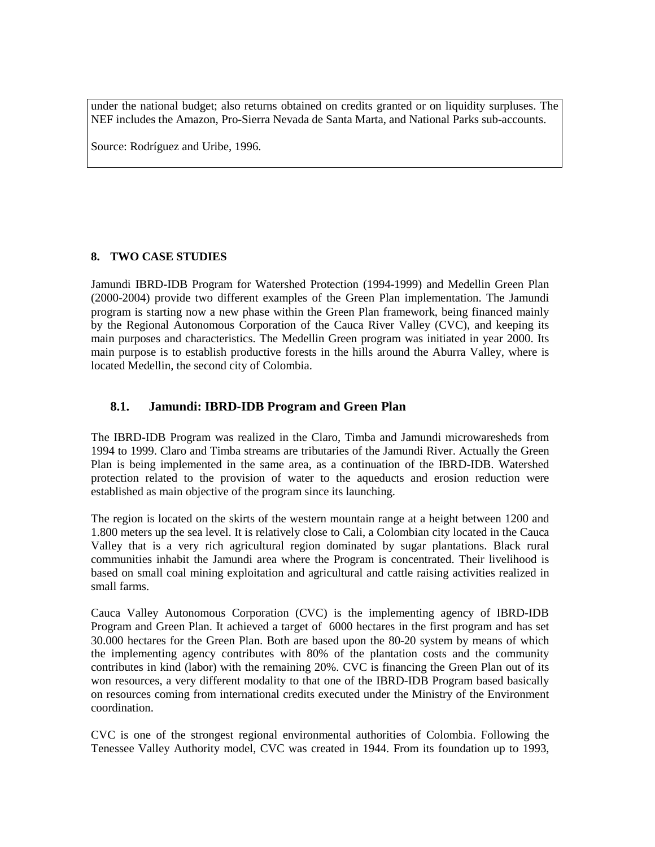under the national budget; also returns obtained on credits granted or on liquidity surpluses. The NEF includes the Amazon, Pro-Sierra Nevada de Santa Marta, and National Parks sub-accounts.

Source: Rodríguez and Uribe, 1996.

### **8. TWO CASE STUDIES**

Jamundi IBRD-IDB Program for Watershed Protection (1994-1999) and Medellin Green Plan (2000-2004) provide two different examples of the Green Plan implementation. The Jamundi program is starting now a new phase within the Green Plan framework, being financed mainly by the Regional Autonomous Corporation of the Cauca River Valley (CVC), and keeping its main purposes and characteristics. The Medellin Green program was initiated in year 2000. Its main purpose is to establish productive forests in the hills around the Aburra Valley, where is located Medellin, the second city of Colombia.

## **8.1. Jamundi: IBRD-IDB Program and Green Plan**

The IBRD-IDB Program was realized in the Claro, Timba and Jamundi microwaresheds from 1994 to 1999. Claro and Timba streams are tributaries of the Jamundi River. Actually the Green Plan is being implemented in the same area, as a continuation of the IBRD-IDB. Watershed protection related to the provision of water to the aqueducts and erosion reduction were established as main objective of the program since its launching.

The region is located on the skirts of the western mountain range at a height between 1200 and 1.800 meters up the sea level. It is relatively close to Cali, a Colombian city located in the Cauca Valley that is a very rich agricultural region dominated by sugar plantations. Black rural communities inhabit the Jamundi area where the Program is concentrated. Their livelihood is based on small coal mining exploitation and agricultural and cattle raising activities realized in small farms.

Cauca Valley Autonomous Corporation (CVC) is the implementing agency of IBRD-IDB Program and Green Plan. It achieved a target of 6000 hectares in the first program and has set 30.000 hectares for the Green Plan. Both are based upon the 80-20 system by means of which the implementing agency contributes with 80% of the plantation costs and the community contributes in kind (labor) with the remaining 20%. CVC is financing the Green Plan out of its won resources, a very different modality to that one of the IBRD-IDB Program based basically on resources coming from international credits executed under the Ministry of the Environment coordination.

CVC is one of the strongest regional environmental authorities of Colombia. Following the Tenessee Valley Authority model, CVC was created in 1944. From its foundation up to 1993,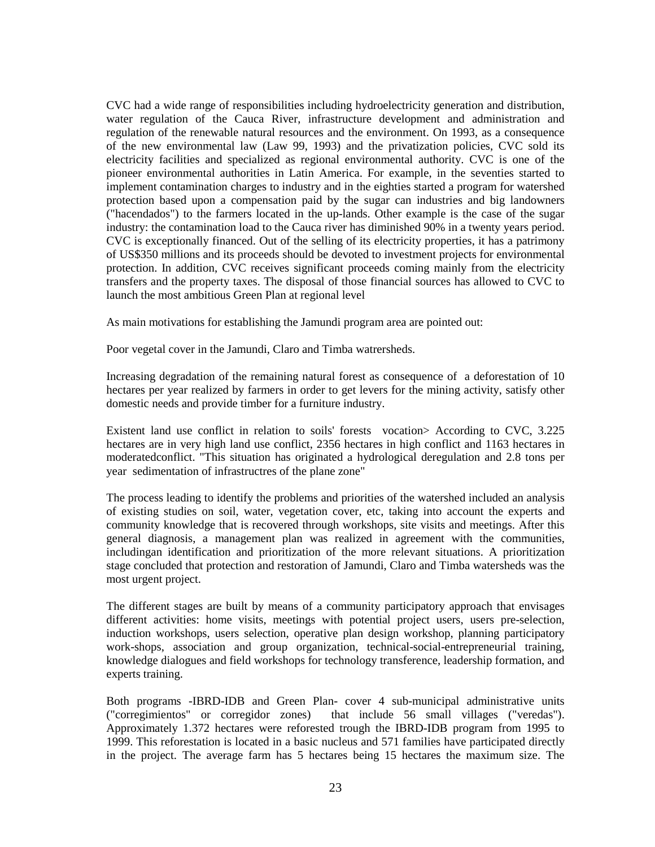CVC had a wide range of responsibilities including hydroelectricity generation and distribution, water regulation of the Cauca River, infrastructure development and administration and regulation of the renewable natural resources and the environment. On 1993, as a consequence of the new environmental law (Law 99, 1993) and the privatization policies, CVC sold its electricity facilities and specialized as regional environmental authority. CVC is one of the pioneer environmental authorities in Latin America. For example, in the seventies started to implement contamination charges to industry and in the eighties started a program for watershed protection based upon a compensation paid by the sugar can industries and big landowners ("hacendados") to the farmers located in the up-lands. Other example is the case of the sugar industry: the contamination load to the Cauca river has diminished 90% in a twenty years period. CVC is exceptionally financed. Out of the selling of its electricity properties, it has a patrimony of US\$350 millions and its proceeds should be devoted to investment projects for environmental protection. In addition, CVC receives significant proceeds coming mainly from the electricity transfers and the property taxes. The disposal of those financial sources has allowed to CVC to launch the most ambitious Green Plan at regional level

As main motivations for establishing the Jamundi program area are pointed out:

Poor vegetal cover in the Jamundi, Claro and Timba watrersheds.

Increasing degradation of the remaining natural forest as consequence of a deforestation of 10 hectares per year realized by farmers in order to get levers for the mining activity, satisfy other domestic needs and provide timber for a furniture industry.

Existent land use conflict in relation to soils' forests vocation> According to CVC, 3.225 hectares are in very high land use conflict, 2356 hectares in high conflict and 1163 hectares in moderatedconflict. "This situation has originated a hydrological deregulation and 2.8 tons per year sedimentation of infrastructres of the plane zone"

The process leading to identify the problems and priorities of the watershed included an analysis of existing studies on soil, water, vegetation cover, etc, taking into account the experts and community knowledge that is recovered through workshops, site visits and meetings. After this general diagnosis, a management plan was realized in agreement with the communities, includingan identification and prioritization of the more relevant situations. A prioritization stage concluded that protection and restoration of Jamundi, Claro and Timba watersheds was the most urgent project.

The different stages are built by means of a community participatory approach that envisages different activities: home visits, meetings with potential project users, users pre-selection, induction workshops, users selection, operative plan design workshop, planning participatory work-shops, association and group organization, technical-social-entrepreneurial training, knowledge dialogues and field workshops for technology transference, leadership formation, and experts training.

Both programs -IBRD-IDB and Green Plan- cover 4 sub-municipal administrative units ("corregimientos" or corregidor zones) that include 56 small villages ("veredas"). Approximately 1.372 hectares were reforested trough the IBRD-IDB program from 1995 to 1999. This reforestation is located in a basic nucleus and 571 families have participated directly in the project. The average farm has 5 hectares being 15 hectares the maximum size. The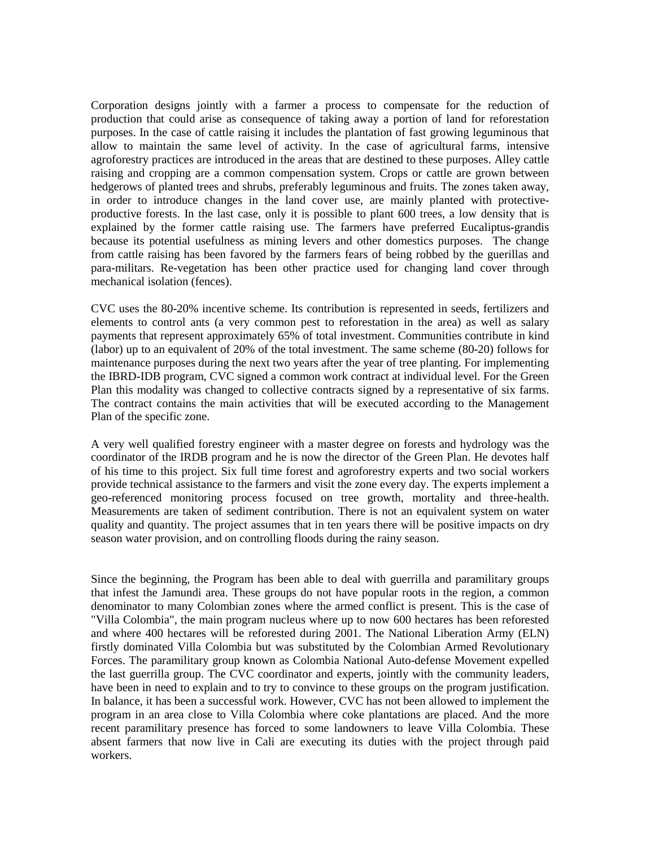Corporation designs jointly with a farmer a process to compensate for the reduction of production that could arise as consequence of taking away a portion of land for reforestation purposes. In the case of cattle raising it includes the plantation of fast growing leguminous that allow to maintain the same level of activity. In the case of agricultural farms, intensive agroforestry practices are introduced in the areas that are destined to these purposes. Alley cattle raising and cropping are a common compensation system. Crops or cattle are grown between hedgerows of planted trees and shrubs, preferably leguminous and fruits. The zones taken away, in order to introduce changes in the land cover use, are mainly planted with protectiveproductive forests. In the last case, only it is possible to plant 600 trees, a low density that is explained by the former cattle raising use. The farmers have preferred Eucaliptus-grandis because its potential usefulness as mining levers and other domestics purposes. The change from cattle raising has been favored by the farmers fears of being robbed by the guerillas and para-militars. Re-vegetation has been other practice used for changing land cover through mechanical isolation (fences).

CVC uses the 80-20% incentive scheme. Its contribution is represented in seeds, fertilizers and elements to control ants (a very common pest to reforestation in the area) as well as salary payments that represent approximately 65% of total investment. Communities contribute in kind (labor) up to an equivalent of 20% of the total investment. The same scheme (80-20) follows for maintenance purposes during the next two years after the year of tree planting. For implementing the IBRD-IDB program, CVC signed a common work contract at individual level. For the Green Plan this modality was changed to collective contracts signed by a representative of six farms. The contract contains the main activities that will be executed according to the Management Plan of the specific zone.

A very well qualified forestry engineer with a master degree on forests and hydrology was the coordinator of the IRDB program and he is now the director of the Green Plan. He devotes half of his time to this project. Six full time forest and agroforestry experts and two social workers provide technical assistance to the farmers and visit the zone every day. The experts implement a geo-referenced monitoring process focused on tree growth, mortality and three-health. Measurements are taken of sediment contribution. There is not an equivalent system on water quality and quantity. The project assumes that in ten years there will be positive impacts on dry season water provision, and on controlling floods during the rainy season.

Since the beginning, the Program has been able to deal with guerrilla and paramilitary groups that infest the Jamundi area. These groups do not have popular roots in the region, a common denominator to many Colombian zones where the armed conflict is present. This is the case of "Villa Colombia", the main program nucleus where up to now 600 hectares has been reforested and where 400 hectares will be reforested during 2001. The National Liberation Army (ELN) firstly dominated Villa Colombia but was substituted by the Colombian Armed Revolutionary Forces. The paramilitary group known as Colombia National Auto-defense Movement expelled the last guerrilla group. The CVC coordinator and experts, jointly with the community leaders, have been in need to explain and to try to convince to these groups on the program justification. In balance, it has been a successful work. However, CVC has not been allowed to implement the program in an area close to Villa Colombia where coke plantations are placed. And the more recent paramilitary presence has forced to some landowners to leave Villa Colombia. These absent farmers that now live in Cali are executing its duties with the project through paid workers.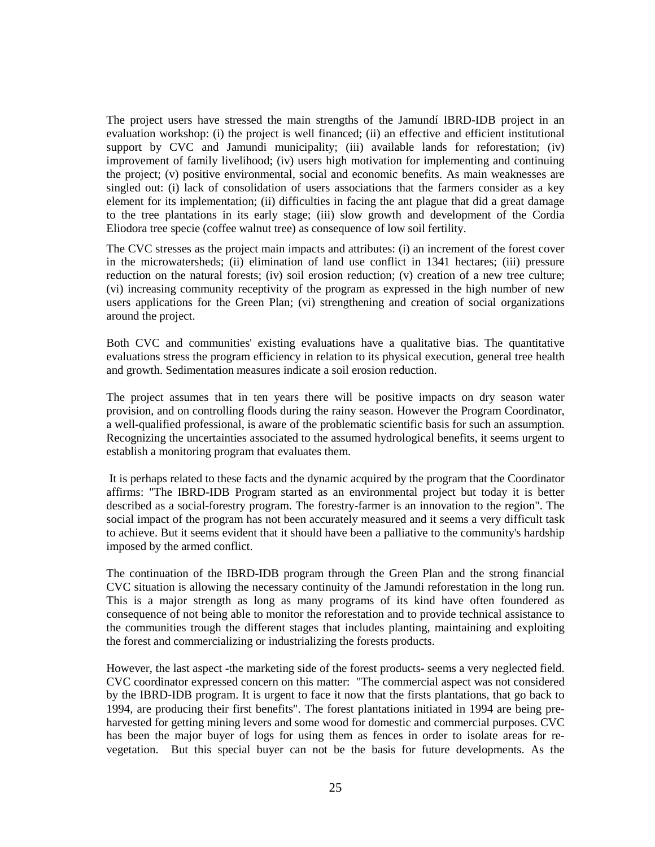The project users have stressed the main strengths of the Jamundí IBRD-IDB project in an evaluation workshop: (i) the project is well financed; (ii) an effective and efficient institutional support by CVC and Jamundi municipality; (iii) available lands for reforestation; (iv) improvement of family livelihood; (iv) users high motivation for implementing and continuing the project; (v) positive environmental, social and economic benefits. As main weaknesses are singled out: (i) lack of consolidation of users associations that the farmers consider as a key element for its implementation; (ii) difficulties in facing the ant plague that did a great damage to the tree plantations in its early stage; (iii) slow growth and development of the Cordia Eliodora tree specie (coffee walnut tree) as consequence of low soil fertility.

The CVC stresses as the project main impacts and attributes: (i) an increment of the forest cover in the microwatersheds; (ii) elimination of land use conflict in 1341 hectares; (iii) pressure reduction on the natural forests; (iv) soil erosion reduction; (v) creation of a new tree culture; (vi) increasing community receptivity of the program as expressed in the high number of new users applications for the Green Plan; (vi) strengthening and creation of social organizations around the project.

Both CVC and communities' existing evaluations have a qualitative bias. The quantitative evaluations stress the program efficiency in relation to its physical execution, general tree health and growth. Sedimentation measures indicate a soil erosion reduction.

The project assumes that in ten years there will be positive impacts on dry season water provision, and on controlling floods during the rainy season. However the Program Coordinator, a well-qualified professional, is aware of the problematic scientific basis for such an assumption. Recognizing the uncertainties associated to the assumed hydrological benefits, it seems urgent to establish a monitoring program that evaluates them.

It is perhaps related to these facts and the dynamic acquired by the program that the Coordinator affirms: "The IBRD-IDB Program started as an environmental project but today it is better described as a social-forestry program. The forestry-farmer is an innovation to the region". The social impact of the program has not been accurately measured and it seems a very difficult task to achieve. But it seems evident that it should have been a palliative to the community's hardship imposed by the armed conflict.

The continuation of the IBRD-IDB program through the Green Plan and the strong financial CVC situation is allowing the necessary continuity of the Jamundi reforestation in the long run. This is a major strength as long as many programs of its kind have often foundered as consequence of not being able to monitor the reforestation and to provide technical assistance to the communities trough the different stages that includes planting, maintaining and exploiting the forest and commercializing or industrializing the forests products.

However, the last aspect -the marketing side of the forest products- seems a very neglected field. CVC coordinator expressed concern on this matter: "The commercial aspect was not considered by the IBRD-IDB program. It is urgent to face it now that the firsts plantations, that go back to 1994, are producing their first benefits". The forest plantations initiated in 1994 are being preharvested for getting mining levers and some wood for domestic and commercial purposes. CVC has been the major buyer of logs for using them as fences in order to isolate areas for revegetation. But this special buyer can not be the basis for future developments. As the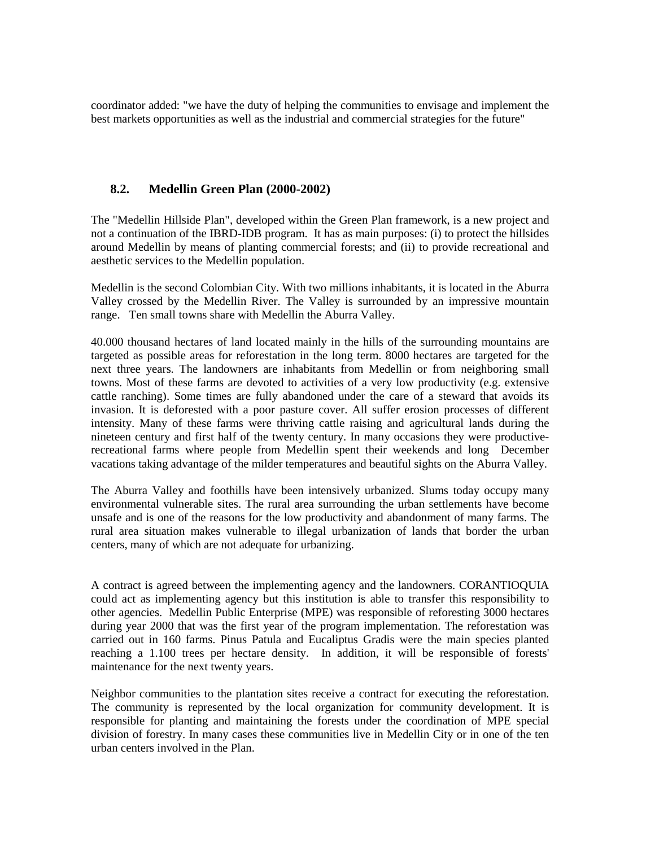coordinator added: "we have the duty of helping the communities to envisage and implement the best markets opportunities as well as the industrial and commercial strategies for the future"

### **8.2. Medellin Green Plan (2000-2002)**

The "Medellin Hillside Plan", developed within the Green Plan framework, is a new project and not a continuation of the IBRD-IDB program. It has as main purposes: (i) to protect the hillsides around Medellin by means of planting commercial forests; and (ii) to provide recreational and aesthetic services to the Medellin population.

Medellin is the second Colombian City. With two millions inhabitants, it is located in the Aburra Valley crossed by the Medellin River. The Valley is surrounded by an impressive mountain range. Ten small towns share with Medellin the Aburra Valley.

40.000 thousand hectares of land located mainly in the hills of the surrounding mountains are targeted as possible areas for reforestation in the long term. 8000 hectares are targeted for the next three years. The landowners are inhabitants from Medellin or from neighboring small towns. Most of these farms are devoted to activities of a very low productivity (e.g. extensive cattle ranching). Some times are fully abandoned under the care of a steward that avoids its invasion. It is deforested with a poor pasture cover. All suffer erosion processes of different intensity. Many of these farms were thriving cattle raising and agricultural lands during the nineteen century and first half of the twenty century. In many occasions they were productiverecreational farms where people from Medellin spent their weekends and long December vacations taking advantage of the milder temperatures and beautiful sights on the Aburra Valley.

The Aburra Valley and foothills have been intensively urbanized. Slums today occupy many environmental vulnerable sites. The rural area surrounding the urban settlements have become unsafe and is one of the reasons for the low productivity and abandonment of many farms. The rural area situation makes vulnerable to illegal urbanization of lands that border the urban centers, many of which are not adequate for urbanizing.

A contract is agreed between the implementing agency and the landowners. CORANTIOQUIA could act as implementing agency but this institution is able to transfer this responsibility to other agencies. Medellin Public Enterprise (MPE) was responsible of reforesting 3000 hectares during year 2000 that was the first year of the program implementation. The reforestation was carried out in 160 farms. Pinus Patula and Eucaliptus Gradis were the main species planted reaching a 1.100 trees per hectare density. In addition, it will be responsible of forests' maintenance for the next twenty years.

Neighbor communities to the plantation sites receive a contract for executing the reforestation. The community is represented by the local organization for community development. It is responsible for planting and maintaining the forests under the coordination of MPE special division of forestry. In many cases these communities live in Medellin City or in one of the ten urban centers involved in the Plan.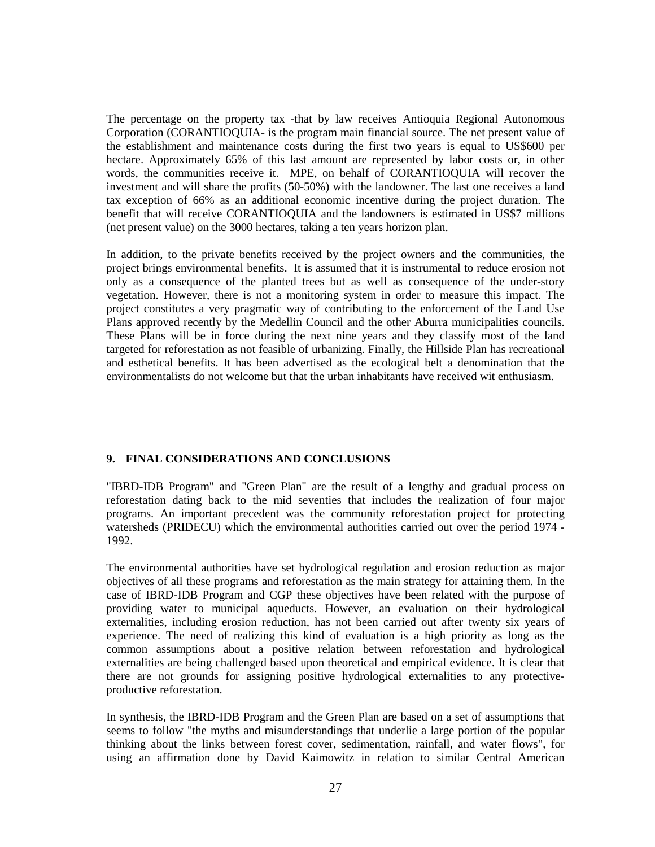The percentage on the property tax -that by law receives Antioquia Regional Autonomous Corporation (CORANTIOQUIA- is the program main financial source. The net present value of the establishment and maintenance costs during the first two years is equal to US\$600 per hectare. Approximately 65% of this last amount are represented by labor costs or, in other words, the communities receive it. MPE, on behalf of CORANTIOQUIA will recover the investment and will share the profits (50-50%) with the landowner. The last one receives a land tax exception of 66% as an additional economic incentive during the project duration. The benefit that will receive CORANTIOQUIA and the landowners is estimated in US\$7 millions (net present value) on the 3000 hectares, taking a ten years horizon plan.

In addition, to the private benefits received by the project owners and the communities, the project brings environmental benefits. It is assumed that it is instrumental to reduce erosion not only as a consequence of the planted trees but as well as consequence of the under-story vegetation. However, there is not a monitoring system in order to measure this impact. The project constitutes a very pragmatic way of contributing to the enforcement of the Land Use Plans approved recently by the Medellin Council and the other Aburra municipalities councils. These Plans will be in force during the next nine years and they classify most of the land targeted for reforestation as not feasible of urbanizing. Finally, the Hillside Plan has recreational and esthetical benefits. It has been advertised as the ecological belt a denomination that the environmentalists do not welcome but that the urban inhabitants have received wit enthusiasm.

### **9. FINAL CONSIDERATIONS AND CONCLUSIONS**

"IBRD-IDB Program" and "Green Plan" are the result of a lengthy and gradual process on reforestation dating back to the mid seventies that includes the realization of four major programs. An important precedent was the community reforestation project for protecting watersheds (PRIDECU) which the environmental authorities carried out over the period 1974 - 1992.

The environmental authorities have set hydrological regulation and erosion reduction as major objectives of all these programs and reforestation as the main strategy for attaining them. In the case of IBRD-IDB Program and CGP these objectives have been related with the purpose of providing water to municipal aqueducts. However, an evaluation on their hydrological externalities, including erosion reduction, has not been carried out after twenty six years of experience. The need of realizing this kind of evaluation is a high priority as long as the common assumptions about a positive relation between reforestation and hydrological externalities are being challenged based upon theoretical and empirical evidence. It is clear that there are not grounds for assigning positive hydrological externalities to any protectiveproductive reforestation.

In synthesis, the IBRD-IDB Program and the Green Plan are based on a set of assumptions that seems to follow "the myths and misunderstandings that underlie a large portion of the popular thinking about the links between forest cover, sedimentation, rainfall, and water flows", for using an affirmation done by David Kaimowitz in relation to similar Central American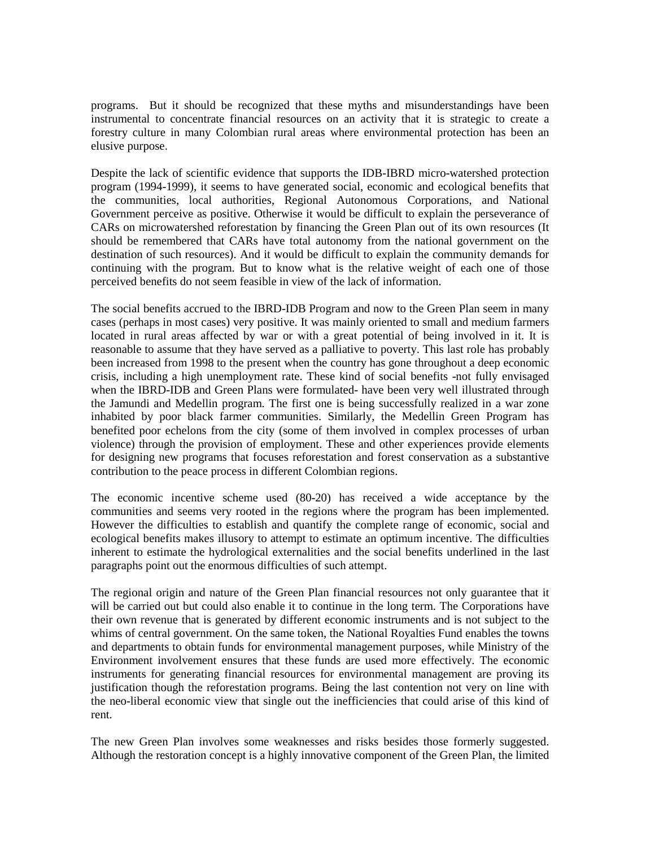programs. But it should be recognized that these myths and misunderstandings have been instrumental to concentrate financial resources on an activity that it is strategic to create a forestry culture in many Colombian rural areas where environmental protection has been an elusive purpose.

Despite the lack of scientific evidence that supports the IDB-IBRD micro-watershed protection program (1994-1999), it seems to have generated social, economic and ecological benefits that the communities, local authorities, Regional Autonomous Corporations, and National Government perceive as positive. Otherwise it would be difficult to explain the perseverance of CARs on microwatershed reforestation by financing the Green Plan out of its own resources (It should be remembered that CARs have total autonomy from the national government on the destination of such resources). And it would be difficult to explain the community demands for continuing with the program. But to know what is the relative weight of each one of those perceived benefits do not seem feasible in view of the lack of information.

The social benefits accrued to the IBRD-IDB Program and now to the Green Plan seem in many cases (perhaps in most cases) very positive. It was mainly oriented to small and medium farmers located in rural areas affected by war or with a great potential of being involved in it. It is reasonable to assume that they have served as a palliative to poverty. This last role has probably been increased from 1998 to the present when the country has gone throughout a deep economic crisis, including a high unemployment rate. These kind of social benefits -not fully envisaged when the IBRD-IDB and Green Plans were formulated- have been very well illustrated through the Jamundi and Medellin program. The first one is being successfully realized in a war zone inhabited by poor black farmer communities. Similarly, the Medellin Green Program has benefited poor echelons from the city (some of them involved in complex processes of urban violence) through the provision of employment. These and other experiences provide elements for designing new programs that focuses reforestation and forest conservation as a substantive contribution to the peace process in different Colombian regions.

The economic incentive scheme used (80-20) has received a wide acceptance by the communities and seems very rooted in the regions where the program has been implemented. However the difficulties to establish and quantify the complete range of economic, social and ecological benefits makes illusory to attempt to estimate an optimum incentive. The difficulties inherent to estimate the hydrological externalities and the social benefits underlined in the last paragraphs point out the enormous difficulties of such attempt.

The regional origin and nature of the Green Plan financial resources not only guarantee that it will be carried out but could also enable it to continue in the long term. The Corporations have their own revenue that is generated by different economic instruments and is not subject to the whims of central government. On the same token, the National Royalties Fund enables the towns and departments to obtain funds for environmental management purposes, while Ministry of the Environment involvement ensures that these funds are used more effectively. The economic instruments for generating financial resources for environmental management are proving its justification though the reforestation programs. Being the last contention not very on line with the neo-liberal economic view that single out the inefficiencies that could arise of this kind of rent.

The new Green Plan involves some weaknesses and risks besides those formerly suggested. Although the restoration concept is a highly innovative component of the Green Plan, the limited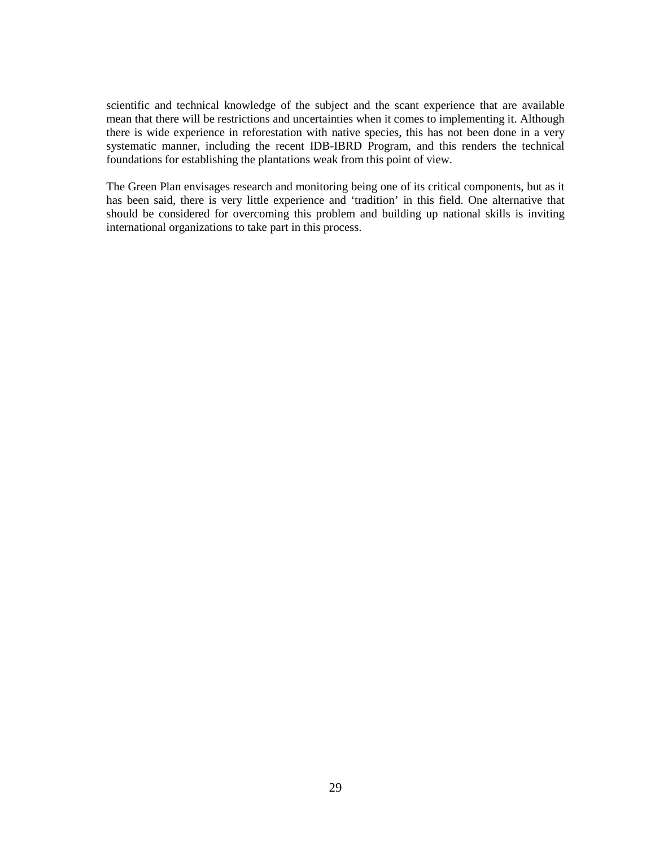scientific and technical knowledge of the subject and the scant experience that are available mean that there will be restrictions and uncertainties when it comes to implementing it. Although there is wide experience in reforestation with native species, this has not been done in a very systematic manner, including the recent IDB-IBRD Program, and this renders the technical foundations for establishing the plantations weak from this point of view.

The Green Plan envisages research and monitoring being one of its critical components, but as it has been said, there is very little experience and 'tradition' in this field. One alternative that should be considered for overcoming this problem and building up national skills is inviting international organizations to take part in this process.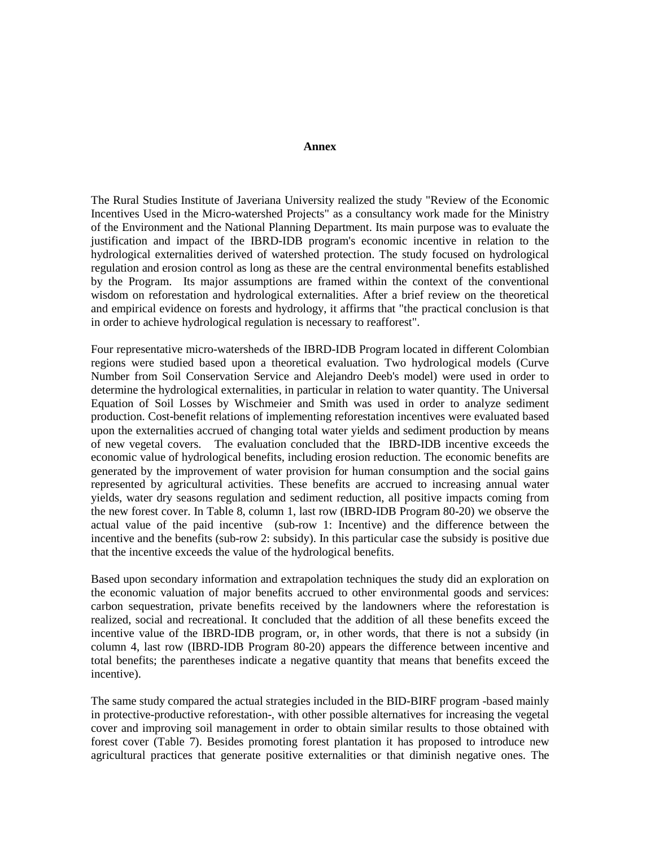#### **Annex**

The Rural Studies Institute of Javeriana University realized the study "Review of the Economic Incentives Used in the Micro-watershed Projects" as a consultancy work made for the Ministry of the Environment and the National Planning Department. Its main purpose was to evaluate the justification and impact of the IBRD-IDB program's economic incentive in relation to the hydrological externalities derived of watershed protection. The study focused on hydrological regulation and erosion control as long as these are the central environmental benefits established by the Program. Its major assumptions are framed within the context of the conventional wisdom on reforestation and hydrological externalities. After a brief review on the theoretical and empirical evidence on forests and hydrology, it affirms that "the practical conclusion is that in order to achieve hydrological regulation is necessary to reafforest".

Four representative micro-watersheds of the IBRD-IDB Program located in different Colombian regions were studied based upon a theoretical evaluation. Two hydrological models (Curve Number from Soil Conservation Service and Alejandro Deeb's model) were used in order to determine the hydrological externalities, in particular in relation to water quantity. The Universal Equation of Soil Losses by Wischmeier and Smith was used in order to analyze sediment production. Cost-benefit relations of implementing reforestation incentives were evaluated based upon the externalities accrued of changing total water yields and sediment production by means of new vegetal covers. The evaluation concluded that the IBRD-IDB incentive exceeds the economic value of hydrological benefits, including erosion reduction. The economic benefits are generated by the improvement of water provision for human consumption and the social gains represented by agricultural activities. These benefits are accrued to increasing annual water yields, water dry seasons regulation and sediment reduction, all positive impacts coming from the new forest cover. In Table 8, column 1, last row (IBRD-IDB Program 80-20) we observe the actual value of the paid incentive (sub-row 1: Incentive) and the difference between the incentive and the benefits (sub-row 2: subsidy). In this particular case the subsidy is positive due that the incentive exceeds the value of the hydrological benefits.

Based upon secondary information and extrapolation techniques the study did an exploration on the economic valuation of major benefits accrued to other environmental goods and services: carbon sequestration, private benefits received by the landowners where the reforestation is realized, social and recreational. It concluded that the addition of all these benefits exceed the incentive value of the IBRD-IDB program, or, in other words, that there is not a subsidy (in column 4, last row (IBRD-IDB Program 80-20) appears the difference between incentive and total benefits; the parentheses indicate a negative quantity that means that benefits exceed the incentive).

The same study compared the actual strategies included in the BID-BIRF program -based mainly in protective-productive reforestation-, with other possible alternatives for increasing the vegetal cover and improving soil management in order to obtain similar results to those obtained with forest cover (Table 7). Besides promoting forest plantation it has proposed to introduce new agricultural practices that generate positive externalities or that diminish negative ones. The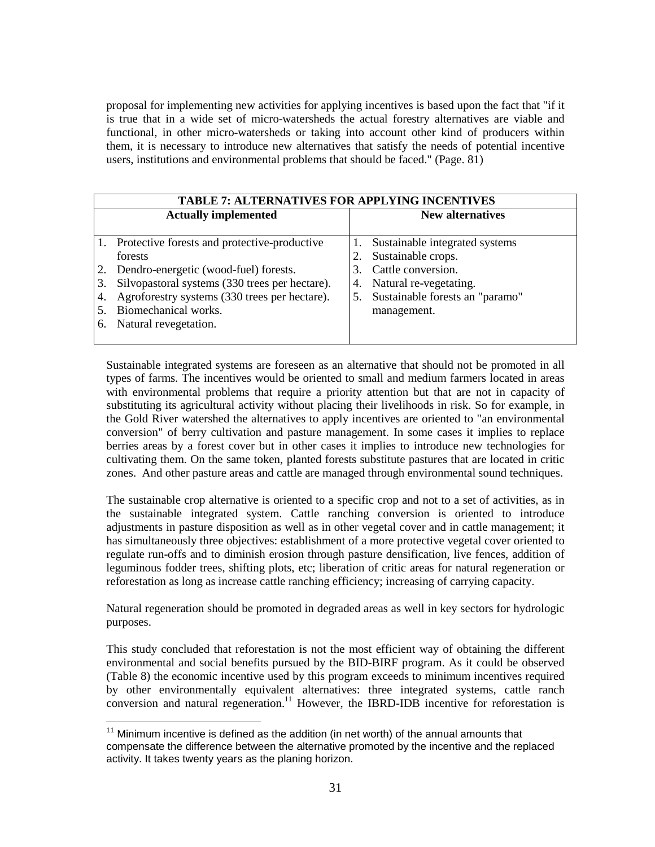proposal for implementing new activities for applying incentives is based upon the fact that "if it is true that in a wide set of micro-watersheds the actual forestry alternatives are viable and functional, in other micro-watersheds or taking into account other kind of producers within them, it is necessary to introduce new alternatives that satisfy the needs of potential incentive users, institutions and environmental problems that should be faced." (Page. 81)

|                             | <b>TABLE 7: ALTERNATIVES FOR APPLYING INCENTIVES</b> |    |                                 |  |  |  |
|-----------------------------|------------------------------------------------------|----|---------------------------------|--|--|--|
| <b>Actually implemented</b> |                                                      |    | New alternatives                |  |  |  |
|                             |                                                      |    |                                 |  |  |  |
|                             | 1. Protective forests and protective-productive      |    | Sustainable integrated systems  |  |  |  |
|                             | forests                                              |    | Sustainable crops.              |  |  |  |
|                             | Dendro-energetic (wood-fuel) forests.                | 3. | Cattle conversion.              |  |  |  |
| 3.                          | Silvopastoral systems (330 trees per hectare).       | 4. | Natural re-vegetating.          |  |  |  |
|                             | Agroforestry systems (330 trees per hectare).        | 5. | Sustainable forests an "paramo" |  |  |  |
|                             | Biomechanical works.                                 |    | management.                     |  |  |  |
| 6.                          | Natural revegetation.                                |    |                                 |  |  |  |
|                             |                                                      |    |                                 |  |  |  |

Sustainable integrated systems are foreseen as an alternative that should not be promoted in all types of farms. The incentives would be oriented to small and medium farmers located in areas with environmental problems that require a priority attention but that are not in capacity of substituting its agricultural activity without placing their livelihoods in risk. So for example, in the Gold River watershed the alternatives to apply incentives are oriented to "an environmental conversion" of berry cultivation and pasture management. In some cases it implies to replace berries areas by a forest cover but in other cases it implies to introduce new technologies for cultivating them. On the same token, planted forests substitute pastures that are located in critic zones. And other pasture areas and cattle are managed through environmental sound techniques.

The sustainable crop alternative is oriented to a specific crop and not to a set of activities, as in the sustainable integrated system. Cattle ranching conversion is oriented to introduce adjustments in pasture disposition as well as in other vegetal cover and in cattle management; it has simultaneously three objectives: establishment of a more protective vegetal cover oriented to regulate run-offs and to diminish erosion through pasture densification, live fences, addition of leguminous fodder trees, shifting plots, etc; liberation of critic areas for natural regeneration or reforestation as long as increase cattle ranching efficiency; increasing of carrying capacity.

Natural regeneration should be promoted in degraded areas as well in key sectors for hydrologic purposes.

This study concluded that reforestation is not the most efficient way of obtaining the different environmental and social benefits pursued by the BID-BIRF program. As it could be observed (Table 8) the economic incentive used by this program exceeds to minimum incentives required by other environmentally equivalent alternatives: three integrated systems, cattle ranch conversion and natural regeneration.<sup>11</sup> However, the IBRD-IDB incentive for reforestation is

 $11$  Minimum incentive is defined as the addition (in net worth) of the annual amounts that compensate the difference between the alternative promoted by the incentive and the replaced activity. It takes twenty years as the planing horizon.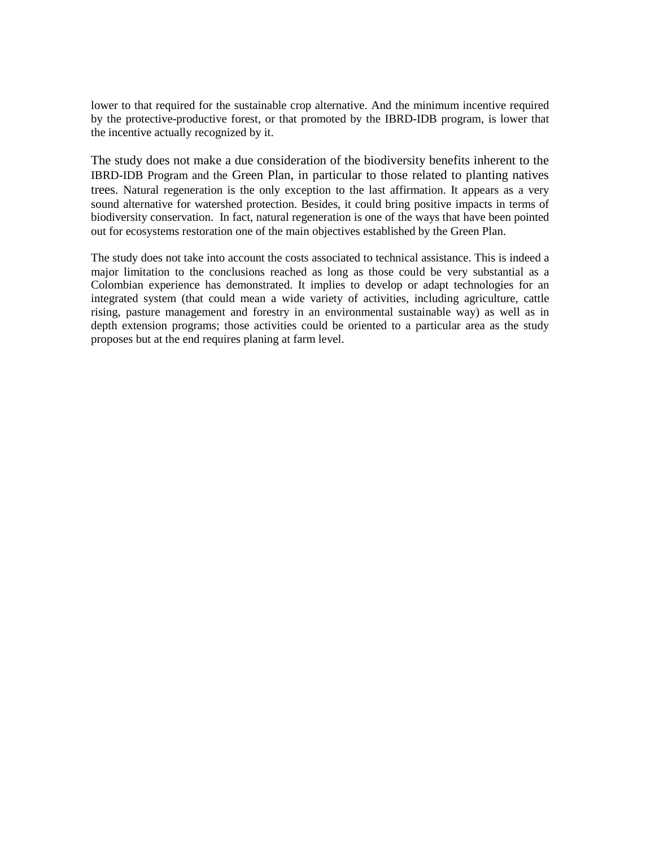lower to that required for the sustainable crop alternative. And the minimum incentive required by the protective-productive forest, or that promoted by the IBRD-IDB program, is lower that the incentive actually recognized by it.

The study does not make a due consideration of the biodiversity benefits inherent to the IBRD-IDB Program and the Green Plan, in particular to those related to planting natives trees. Natural regeneration is the only exception to the last affirmation. It appears as a very sound alternative for watershed protection. Besides, it could bring positive impacts in terms of biodiversity conservation. In fact, natural regeneration is one of the ways that have been pointed out for ecosystems restoration one of the main objectives established by the Green Plan.

The study does not take into account the costs associated to technical assistance. This is indeed a major limitation to the conclusions reached as long as those could be very substantial as a Colombian experience has demonstrated. It implies to develop or adapt technologies for an integrated system (that could mean a wide variety of activities, including agriculture, cattle rising, pasture management and forestry in an environmental sustainable way) as well as in depth extension programs; those activities could be oriented to a particular area as the study proposes but at the end requires planing at farm level.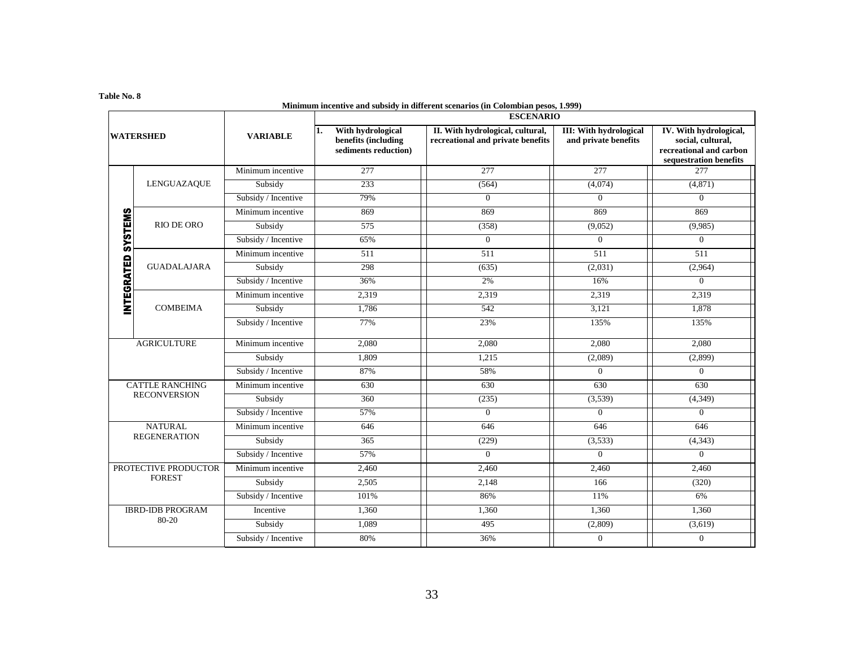#### **Table No. 8**

| Minimum incentive and subsidy in different scenarios (in Colombian pesos, 1.999)<br><b>ESCENARIO</b> |                         |                     |                                                                         |                                                                       |                                                       |                                                                                                  |
|------------------------------------------------------------------------------------------------------|-------------------------|---------------------|-------------------------------------------------------------------------|-----------------------------------------------------------------------|-------------------------------------------------------|--------------------------------------------------------------------------------------------------|
| <b>WATERSHED</b>                                                                                     |                         | <b>VARIABLE</b>     | With hydrological<br>11.<br>benefits (including<br>sediments reduction) | II. With hydrological, cultural,<br>recreational and private benefits | <b>III: With hydrological</b><br>and private benefits | IV. With hydrological,<br>social, cultural,<br>recreational and carbon<br>sequestration benefits |
|                                                                                                      |                         | Minimum incentive   | 277                                                                     | 277                                                                   | 277                                                   | 277                                                                                              |
|                                                                                                      | LENGUAZAQUE             | Subsidy             | 233                                                                     | (564)                                                                 | (4,074)                                               | (4, 871)                                                                                         |
|                                                                                                      |                         | Subsidy / Incentive | 79%                                                                     | $\overline{0}$                                                        | $\overline{0}$                                        | $\overline{0}$                                                                                   |
|                                                                                                      |                         | Minimum incentive   | 869                                                                     | 869                                                                   | 869                                                   | 869                                                                                              |
|                                                                                                      | <b>RIO DE ORO</b>       | Subsidy             | 575                                                                     | (358)                                                                 | (9,052)                                               | (9,985)                                                                                          |
|                                                                                                      |                         | Subsidy / Incentive | 65%                                                                     | $\overline{0}$                                                        | $\overline{0}$                                        | $\overline{0}$                                                                                   |
| <b>INTEGRATED SYSTEMS</b>                                                                            |                         | Minimum incentive   | 511                                                                     | 511                                                                   | 511                                                   | 511                                                                                              |
|                                                                                                      | <b>GUADALAJARA</b>      | Subsidy             | 298                                                                     | (635)                                                                 | (2,031)                                               | (2,964)                                                                                          |
|                                                                                                      |                         | Subsidy / Incentive | 36%                                                                     | 2%                                                                    | 16%                                                   | $\overline{0}$                                                                                   |
|                                                                                                      | <b>COMBEIMA</b>         | Minimum incentive   | 2,319                                                                   | 2,319                                                                 | 2,319                                                 | 2,319                                                                                            |
|                                                                                                      |                         | Subsidy             | 1,786                                                                   | 542                                                                   | 3,121                                                 | 1,878                                                                                            |
|                                                                                                      |                         | Subsidy / Incentive | 77%                                                                     | 23%                                                                   | 135%                                                  | 135%                                                                                             |
| <b>AGRICULTURE</b><br><b>CATTLE RANCHING</b>                                                         |                         | Minimum incentive   | 2.080                                                                   | 2.080                                                                 | 2,080                                                 | 2,080                                                                                            |
|                                                                                                      |                         | Subsidy             | 1,809                                                                   | 1,215                                                                 | (2,089)                                               | (2,899)                                                                                          |
|                                                                                                      |                         | Subsidy / Incentive | 87%                                                                     | 58%                                                                   | $\overline{0}$                                        | $\overline{0}$                                                                                   |
|                                                                                                      |                         | Minimum incentive   | 630                                                                     | 630                                                                   | 630                                                   | 630                                                                                              |
|                                                                                                      | <b>RECONVERSION</b>     | Subsidy             | 360                                                                     | (235)                                                                 | (3,539)                                               | (4,349)                                                                                          |
|                                                                                                      |                         | Subsidy / Incentive | 57%                                                                     | $\Omega$                                                              | $\Omega$                                              | $\Omega$                                                                                         |
|                                                                                                      | <b>NATURAL</b>          | Minimum incentive   | 646                                                                     | 646                                                                   | 646                                                   | 646                                                                                              |
| <b>REGENERATION</b>                                                                                  |                         | Subsidy             | 365                                                                     | (229)                                                                 | (3,533)                                               | (4, 343)                                                                                         |
|                                                                                                      |                         | Subsidy / Incentive | 57%                                                                     | $\overline{0}$                                                        | $\overline{0}$                                        | $\overline{0}$                                                                                   |
| PROTECTIVE PRODUCTOR<br><b>FOREST</b>                                                                |                         | Minimum incentive   | 2,460                                                                   | 2,460                                                                 | 2,460                                                 | 2,460                                                                                            |
|                                                                                                      |                         | Subsidy             | 2,505                                                                   | 2,148                                                                 | 166                                                   | (320)                                                                                            |
|                                                                                                      |                         | Subsidy / Incentive | 101%                                                                    | 86%                                                                   | 11%                                                   | 6%                                                                                               |
|                                                                                                      | <b>IBRD-IDB PROGRAM</b> | Incentive           | 1,360                                                                   | 1,360                                                                 | 1,360                                                 | 1,360                                                                                            |
|                                                                                                      | 80-20                   | Subsidy             | 1,089                                                                   | 495                                                                   | (2,809)                                               | (3,619)                                                                                          |
|                                                                                                      |                         | Subsidy / Incentive | 80%                                                                     | 36%                                                                   | $\overline{0}$                                        | $\overline{0}$                                                                                   |

#### **Minimum incentive and subsidy in different scenarios (in Colombian pesos, 1.999)**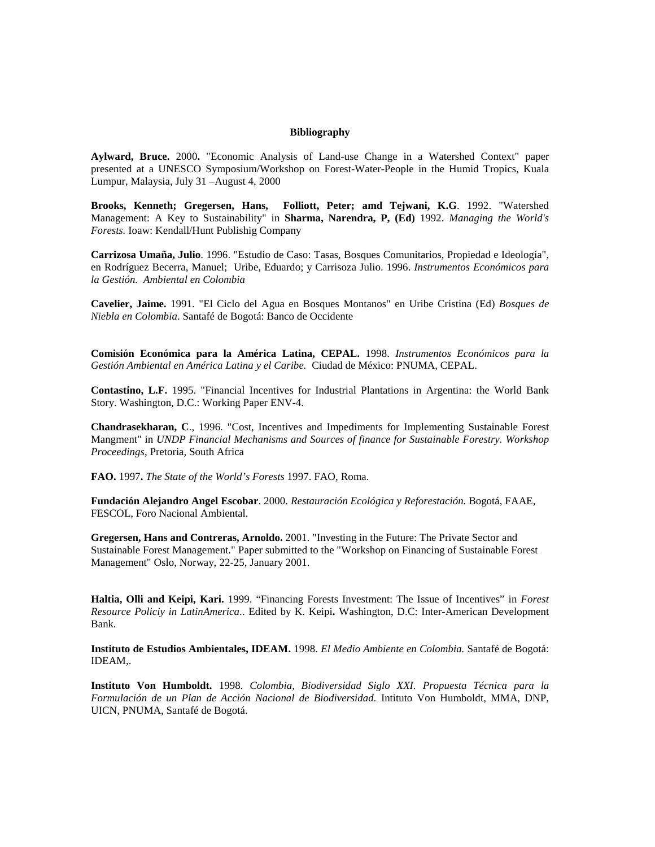#### **Bibliography**

**Aylward, Bruce.** 2000**.** "Economic Analysis of Land-use Change in a Watershed Context" paper presented at a UNESCO Symposium/Workshop on Forest-Water-People in the Humid Tropics, Kuala Lumpur, Malaysia, July 31 –August 4, 2000

**Brooks, Kenneth; Gregersen, Hans, Folliott, Peter; amd Tejwani, K.G**. 1992. "Watershed Management: A Key to Sustainability" in **Sharma, Narendra, P, (Ed)** 1992. *Managing the World's Forests.* Ioaw: Kendall/Hunt Publishig Company

**Carrizosa Umaña, Julio**. 1996. "Estudio de Caso: Tasas, Bosques Comunitarios, Propiedad e Ideología", en Rodríguez Becerra, Manuel; Uribe, Eduardo; y Carrisoza Julio. 1996. *Instrumentos Económicos para la Gestión. Ambiental en Colombia*

**Cavelier, Jaime.** 1991. "El Ciclo del Agua en Bosques Montanos" en Uribe Cristina (Ed) *Bosques de Niebla en Colombia*. Santafé de Bogotá: Banco de Occidente

**Comisión Económica para la América Latina, CEPAL.** 1998. *Instrumentos Económicos para la Gestión Ambiental en América Latina y el Caribe.* Ciudad de México: PNUMA, CEPAL.

**Contastino, L.F.** 1995. "Financial Incentives for Industrial Plantations in Argentina: the World Bank Story. Washington, D.C.: Working Paper ENV-4.

**Chandrasekharan, C**., 1996. "Cost, Incentives and Impediments for Implementing Sustainable Forest Mangment" in *UNDP Financial Mechanisms and Sources of finance for Sustainable Forestry. Workshop Proceedings*, Pretoria, South Africa

**FAO.** 1997**.** *The State of the World's Forests* 1997. FAO, Roma.

**Fundación Alejandro Angel Escobar**. 2000. *Restauración Ecológica y Reforestación.* Bogotá, FAAE, FESCOL, Foro Nacional Ambiental.

**Gregersen, Hans and Contreras, Arnoldo.** 2001. "Investing in the Future: The Private Sector and Sustainable Forest Management." Paper submitted to the "Workshop on Financing of Sustainable Forest Management" Oslo, Norway, 22-25, January 2001.

**Haltia, Olli and Keipi, Kari.** 1999. "Financing Forests Investment: The Issue of Incentives" in *Forest Resource Policiy in LatinAmerica*.. Edited by K. Keipi**.** Washington, D.C: Inter-American Development Bank.

**Instituto de Estudios Ambientales, IDEAM.** 1998. *El Medio Ambiente en Colombia.* Santafé de Bogotá: IDEAM,.

**Instituto Von Humboldt.** 1998*. Colombia, Biodiversidad Siglo XXI. Propuesta Técnica para la Formulación de un Plan de Acción Nacional de Biodiversidad.* Intituto Von Humboldt, MMA, DNP, UICN, PNUMA, Santafé de Bogotá.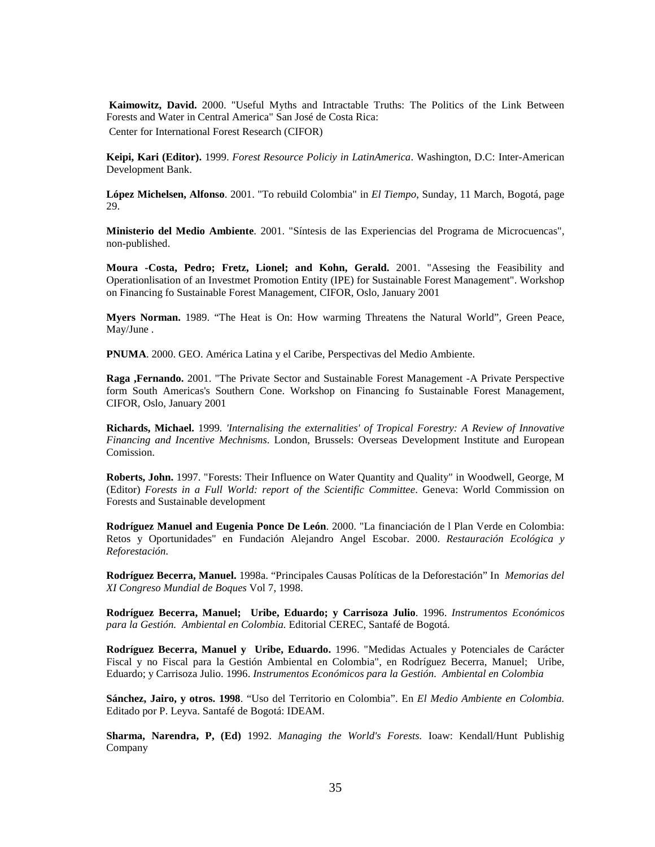**Kaimowitz, David.** 2000. "Useful Myths and Intractable Truths: The Politics of the Link Between Forests and Water in Central America" San José de Costa Rica: Center for International Forest Research (CIFOR)

**Keipi, Kari (Editor).** 1999. *Forest Resource Policiy in LatinAmerica*. Washington, D.C: Inter-American Development Bank.

**López Michelsen, Alfonso**. 2001. "To rebuild Colombia" in *El Tiempo*, Sunday, 11 March, Bogotá, page 29.

**Ministerio del Medio Ambiente**. 2001. "Síntesis de las Experiencias del Programa de Microcuencas", non-published.

**Moura -Costa, Pedro; Fretz, Lionel; and Kohn, Gerald.** 2001. "Assesing the Feasibility and Operationlisation of an Investmet Promotion Entity (IPE) for Sustainable Forest Management". Workshop on Financing fo Sustainable Forest Management, CIFOR, Oslo, January 2001

**Myers Norman.** 1989. "The Heat is On: How warming Threatens the Natural World", Green Peace, May/June .

**PNUMA**. 2000. GEO. América Latina y el Caribe, Perspectivas del Medio Ambiente.

**Raga ,Fernando.** 2001. "The Private Sector and Sustainable Forest Management -A Private Perspective form South Americas's Southern Cone. Workshop on Financing fo Sustainable Forest Management, CIFOR, Oslo, January 2001

**Richards, Michael.** 1999*. 'Internalising the externalities' of Tropical Forestry: A Review of Innovative Financing and Incentive Mechnisms*. London, Brussels: Overseas Development Institute and European Comission.

**Roberts, John.** 1997. "Forests: Their Influence on Water Quantity and Quality" in Woodwell, George, M (Editor) *Forests in a Full World: report of the Scientific Committee*. Geneva: World Commission on Forests and Sustainable development

**Rodríguez Manuel and Eugenia Ponce De León**. 2000. "La financiación de l Plan Verde en Colombia: Retos y Oportunidades" en Fundación Alejandro Angel Escobar. 2000. *Restauración Ecológica y Reforestación.*

**Rodríguez Becerra, Manuel.** 1998a. "Principales Causas Políticas de la Deforestación" In *Memorias del XI Congreso Mundial de Boques* Vol 7, 1998.

**Rodríguez Becerra, Manuel; Uribe, Eduardo; y Carrisoza Julio**. 1996. *Instrumentos Económicos para la Gestión. Ambiental en Colombia.* Editorial CEREC, Santafé de Bogotá.

**Rodríguez Becerra, Manuel y Uribe, Eduardo.** 1996. "Medidas Actuales y Potenciales de Carácter Fiscal y no Fiscal para la Gestión Ambiental en Colombia", en Rodríguez Becerra, Manuel; Uribe, Eduardo; y Carrisoza Julio. 1996. *Instrumentos Económicos para la Gestión. Ambiental en Colombia*

**Sánchez, Jairo, y otros. 1998**. "Uso del Territorio en Colombia". En *El Medio Ambiente en Colombia.* Editado por P. Leyva. Santafé de Bogotá: IDEAM.

**Sharma, Narendra, P, (Ed)** 1992. *Managing the World's Forests.* Ioaw: Kendall/Hunt Publishig Company